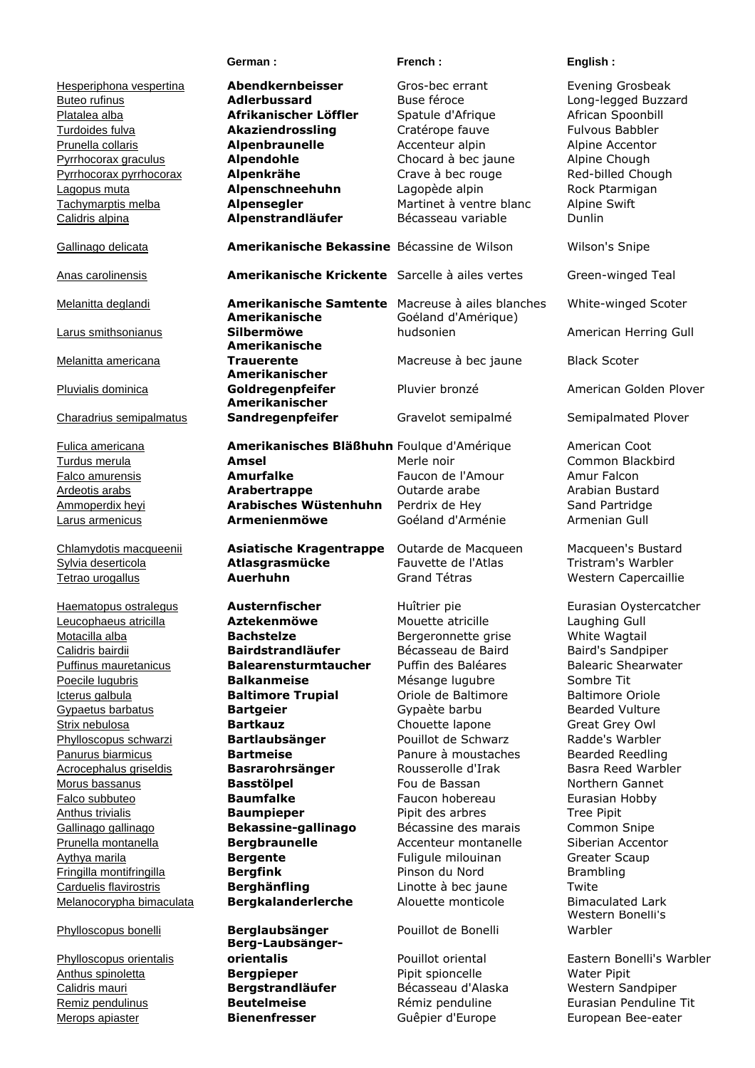Hesperiphona vespertina **Abendkernbeisser** Gros-bec errant Evening Grosbeak Buteo rufinus **Adlerbussard** Buse féroce Long-legged Buzzard Platalea alba **Afrikanischer Löffler** Spatule d'Afrique African Spoonbill Turdoides fulva **Akaziendrossling** Cratérope fauve Fulvous Babbler Prunella collaris **Alpenbraunelle** Accenteur alpin Alpine Accentor Pyrrhocorax graculus **Alpendohle** Chocard à bec jaune Alpine Chough Pyrrhocorax pyrrhocorax **Alpenkrähe** Crave à bec rouge Red-billed Chough Lagopus muta **Alpenschneehuhn** Lagopède alpin Rock Ptarmigan Tachymarptis melba **Alpensegler** Martinet à ventre blanc Alpine Swift Calidris alpina **Alpenstrandläufer** Bécasseau variable Dunlin Gallinago delicata **Amerikanische Bekassine** Bécassine de Wilson Wilson's Snipe Anas carolinensis **Amerikanische Krickente** Sarcelle à ailes vertes Green-winged Teal Melanitta deglandi **Amerikanische Samtente** Macreuse à ailes blanches White-winged Scoter Larus smithsonianus **Amerikanische Silbermöwe** Goéland d'Amérique) hudsonien **American Herring Gull** Melanitta americana **Amerikanische Trauerente Macreuse à bec jaune** Black Scoter Pluvialis dominica **Amerikanischer Goldregenpfeifer** Pluvier bronzé American Golden Plover Charadrius semipalmatus **Amerikanischer Sandregenpfeifer** Gravelot semipalmé Semipalmated Plover Fulica americana **Amerikanisches Bläßhuhn** Foulque d'Amérique American Coot Turdus merula **Amsel** Merle noir Common Blackbird Falco amurensis **Amurfalke** Faucon de l'Amour Amur Falcon Ardeotis arabs **Arabertrappe** Outarde arabe Arabian Bustard Ammoperdix heyi **Arabisches Wüstenhuhn** Perdrix de Hey Sand Partridge Larus armenicus **Armenienmöwe** Goéland d'Arménie Armenian Gull Chlamydotis macqueenii **Asiatische Kragentrappe** Outarde de Macqueen Macqueen's Bustard Sylvia deserticola **Atlasgrasmücke** Fauvette de l'Atlas Tristram's Warbler Tetrao urogallus **Auerhuhn** Grand Tétras Western Capercaillie Haematopus ostralegus **Austernfischer** Huîtrier pie Eurasian Oystercatcher Leucophaeus atricilla **Aztekenmöwe** Mouette atricille Laughing Gull Motacilla alba **Bachstelze** Bergeronnette grise White Wagtail Calidris bairdii **Bairdstrandläufer** Bécasseau de Baird Baird's Sandpiper Puffinus mauretanicus **Balearensturmtaucher** Puffin des Baléares Balearic Shearwater Poecile lugubris **Balkanmeise** Mésange lugubre Sombre Tit Icterus galbula **Baltimore Trupial** Oriole de Baltimore Baltimore Oriole Gypaetus barbatus **Bartgeier Bartgeier** Gypaète barbu Strix nebulosa **Bartkauz Bartkauz** Chouette lapone Great Grey Owl Phylloscopus schwarzi **Bartlaubsänger** Pouillot de Schwarz Radde's Warbler Panurus biarmicus **Bartmeise** Panure à moustaches Bearded Reedling Acrocephalus griseldis **Basrarohrsänger** Rousserolle d'Irak Basra Reed Warbler Morus bassanus **Basstölpel** Fou de Bassan Northern Gannet Falco subbuteo **Baumfalke** Faucon hobereau Eurasian Hobby Anthus trivialis **Baumpieper** Pipit des arbres Tree Pipit Gallinago gallinago **Bekassine-gallinago** Bécassine des marais Common Snipe Prunella montanella **Bergbraunelle** Accenteur montanelle Siberian Accentor Aythya marila **Bergente Bergente** Fuliqule milouinan Greater Scaup Fringilla montifringilla **Bergfink** Pinson du Nord Brambling Carduelis flavirostris **Berghänfling** Linotte à bec jaune Twite Melanocorypha bimaculata **Bergkalanderlerche** Alouette monticole Bimaculated Lark Phylloscopus bonelli **Berglaubsänger** Pouillot de Bonelli Western Bonelli's Warbler Phylloscopus orientalis **Berg-Laubsängerorientalis** Pouillot oriental Eastern Bonelli's Warbler Anthus spinoletta **Bergpieper** Pipit spioncelle Water Pipit Calidris mauri **Bergstrandläufer** Bécasseau d'Alaska Western Sandpiper Remiz pendulinus **Beutelmeise** Rémiz penduline Eurasian Penduline Tit

Merops apiaster **Bienenfresser** Guêpier d'Europe European Bee-eater

**German : Community Serman : English : English : English : English : English : English : English : English : English : English : English : English : English : English : English : English : English : English : English : Eng**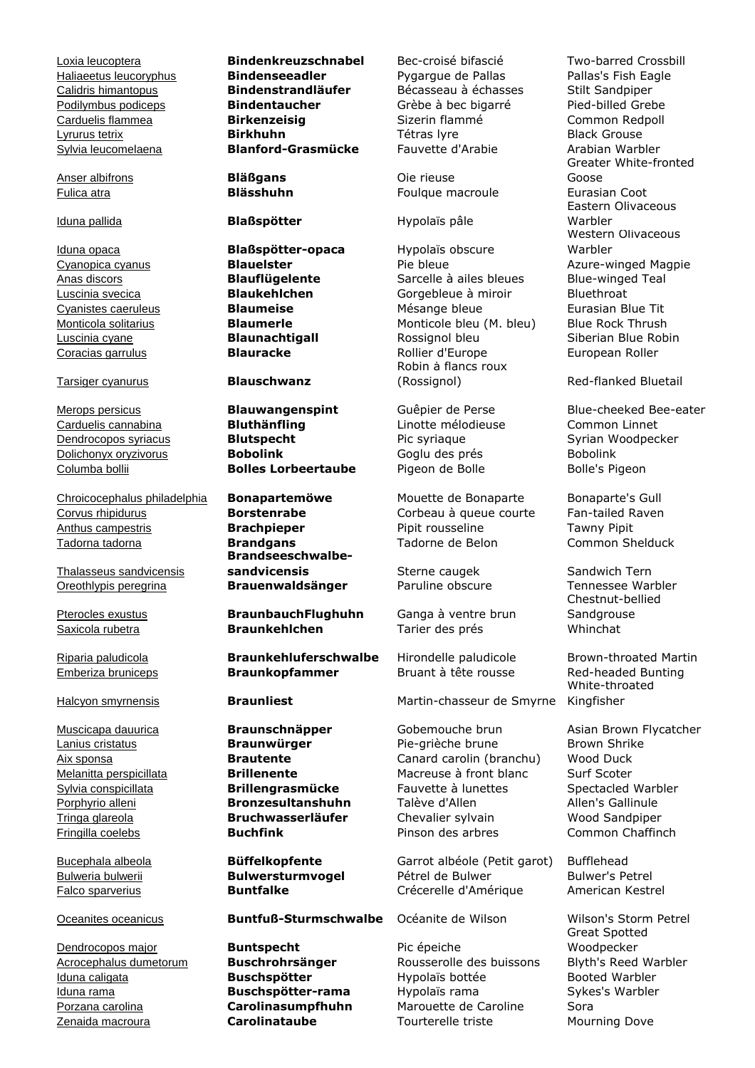Sylvia leucomelaena **Blanford-Grasmücke** Fauvette d'Arabie Arabian Warbler

Anser albifrons **Bläßgans Die rieuse** 

Tarsiger cyanurus **Blauschwanz**

Chroicocephalus philadelphia **Bonapartemöwe** Mouette de Bonaparte Bonaparte's Gull Corvus rhipidurus **Borstenrabe** Corbeau à queue courte Fan-tailed Raven Anthus campestris **Brachpieper** Pipit rousseline Tawny Pipit Tadorna tadorna **Brandgans** Tadorne de Belon Common Shelduck

Thalasseus sandvicensis Oreothlypis peregrina **Brauenwaldsänger** Paruline obscure Tennessee Warbler

Dendrocopos major **Buntspecht** Pic épeiche

Loxia leucoptera **Bindenkreuzschnabel** Bec-croisé bifascié Two-barred Crossbill Haliaeetus leucoryphus **Bindenseeadler** Pygargue de Pallas Pallas's Fish Eagle Calidris himantopus **Bindenstrandläufer** Bécasseau à échasses Stilt Sandpiper Podilymbus podiceps **Bindentaucher** Grèbe à bec bigarré Pied-billed Grebe Carduelis flammea **Birkenzeisig** Sizerin flammé Common Redpoll Lyrurus tetrix **Birkhuhn** Tétras lyre Black Grouse

Iduna pallida **Blaßspötter** Hypolaïs pâle

Iduna opaca **Blaßspötter-opaca** Hypolaïs obscure

Carduelis cannabina **Bluthänfling** Linotte mélodieuse Common Linnet Dendrocopos syriacus **Blutspecht** Pic syriaque Syrian Woodpecker Dolichonyx oryzivorus **Bobolink** Goglu des prés Bobolink <u>Columba bollii</u> **Bolles Lorbeertaube** Pigeon de Bolle Bolle's Pigeon

> **Brandseeschwalbesandvicensis** Sterne caugek Sandwich Tern

Pterocles exustus **BraunbauchFlughuhn** Ganga à ventre brun Saxicola rubetra **Braunkehlchen** Tarier des prés Whinchat

Riparia paludicola **Braunkehluferschwalbe** Hirondelle paludicole Brown-throated Martin Emberiza bruniceps **Braunkopfammer** Bruant à tête rousse Red-headed Bunting

### Oceanites oceanicus **Buntfuß-Sturmschwalbe** Océanite de Wilson Wilson's Storm Petrel

Fulica atra **Blässhuhn** Foulque macroule Eurasian Coot

Cyanopica cyanus **Blauelster Pie bleue** Pie bleue Azure-winged Magpie Anas discors **Blauflügelente** Sarcelle à ailes bleues Blue-winged Teal Luscinia svecica **Blaukehlchen** Gorgebleue à miroir Bluethroat Cyanistes caeruleus **Blaumeise** Mésange bleue Eurasian Blue Tit Monticola solitarius **Blaumerle** Monticole bleu (M. bleu) Blue Rock Thrush Luscinia cyane **Blaunachtigall** Rossignol bleu Siberian Blue Robin Coracias garrulus **Blauracke Blauracke** Rollier d'Europe **European Roller** Robin à flancs roux (Rossignol) Red-flanked Bluetail

Halcyon smyrnensis **Braunliest** Martin-chasseur de Smyrne

Muscicapa dauurica **Braunschnäpper** Gobemouche brun Asian Brown Flycatcher Lanius cristatus **Braunwürger** Pie-grièche brune Brown Shrike Aix sponsa **Brautente** Canard carolin (branchu) Wood Duck Melanitta perspicillata **Brillenente** Macreuse à front blanc Surf Scoter Sylvia conspicillata **Brillengrasmücke** Fauvette à lunettes Spectacled Warbler Porphyrio alleni **Bronzesultanshuhn** Talève d'Allen Allen's Gallinule Tringa glareola **Bruchwasserläufer** Chevalier sylvain Wood Sandpiper Fringilla coelebs **Buchfink** Pinson des arbres Common Chaffinch

Bucephala albeola **Büffelkopfente** Garrot albéole (Petit garot) Bufflehead Bulweria bulwerii **Bulwersturmvogel** Pétrel de Bulwer Bulwer's Petrel Falco sparverius **Buntfalke** Crécerelle d'Amérique American Kestrel

Acrocephalus dumetorum **Buschrohrsänger** Rousserolle des buissons Blyth's Reed Warbler Iduna caligata **Buschspötter** Hypolaïs bottée Booted Warbler Iduna rama **Buschspötter-rama** Hypolaïs rama Sykes's Warbler Porzana carolina **Carolinasumpfhuhn** Marouette de Caroline Sora Zenaida macroura **Carolinataube** Tourterelle triste Mourning Dove

Greater White-fronted Goose Eastern Olivaceous Warbler Western Olivaceous Warbler

Merops persicus **Blauwangenspint** Guêpier de Perse Blue-cheeked Bee-eater

Chestnut-bellied **Sandgrouse** 

White-throated Kingfisher

Great Spotted Woodpecker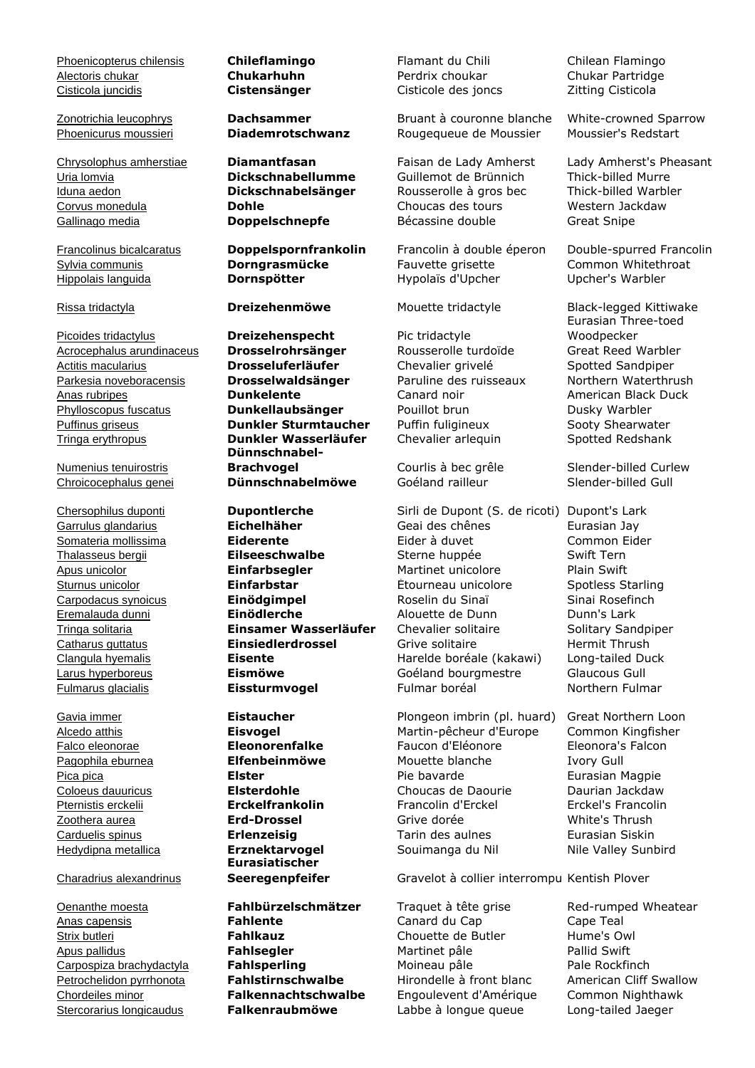Phoenicopterus chilensis **Chileflamingo** Flamant du Chili Chilean Flamingo Alectoris chukar **Chukarhuhn** Perdrix choukar Chukar Partridge Cisticola juncidis **Cistensänger** Cisticole des joncs Zitting Cisticola

Picoides tridactylus **Dreizehenspecht** Pic tridactyle Acrocephalus arundinaceus **Drosselrohrsänger** Rousserolle turdoïde Great Reed Warbler Actitis macularius **Drosseluferläufer** Chevalier grivelé Spotted Sandpiper Parkesia noveboracensis **Drosselwaldsänger** Paruline des ruisseaux Northern Waterthrush Anas rubripes **Dunkelente** Canard noir American Black Duck Phylloscopus fuscatus **Dunkellaubsänger** Pouillot brun Dusky Warbler Puffinus griseus **Dunkler Sturmtaucher** Puffin fuligineux Sooty Shearwater Tringa erythropus **Dunkler Wasserläufer** Chevalier arlequin Spotted Redshank

Numenius tenuirostris

### Charadrius alexandrinus

Hippolais languida **Dornspötter** Hypolaïs d'Upcher Upcher's Warbler

**Dünnschnabel-Brachvogel** Courlis à bec grêle Slender-billed Curlew Chroicocephalus genei **Dünnschnabelmöwe** Goéland railleur Slender-billed Gull

**Eurasiatischer** 

Oenanthe moesta **Fahlbürzelschmätzer** Traquet à tête grise Red-rumped Wheatear Anas capensis **Fahlente** Canard du Cap Cape Teal Strix butleri **Fahlkauz Fahlkauz** Chouette de Butler Hume's Owl Apus pallidus **Fahlsegler** Martinet pâle Pallid Swift Carpospiza brachydactyla **Fahlsperling** Moineau pâle Pale Rockfinch Petrochelidon pyrrhonota **Fahlstirnschwalbe** Hirondelle à front blanc American Cliff Swallow Chordeiles minor **Falkennachtschwalbe** Engoulevent d'Amérique Common Nighthawk

Zonotrichia leucophrys **Dachsammer** Bruant à couronne blanche White-crowned Sparrow Phoenicurus moussieri **Diademrotschwanz** Rougequeue de Moussier Moussier's Redstart

Uria lomvia **Dickschnabellumme** Guillemot de Brünnich Iduna aedon **Dickschnabelsänger** Rousserolle à gros bec Thick-billed Warbler Corvus monedula **Dohle** Choucas des tours Western Jackdaw Gallinago media **Doppelschnepfe** Bécassine double Great Snipe

Francolinus bicalcaratus **Doppelspornfrankolin** Francolin à double éperon Double-spurred Francolin Sylvia communis **Dorngrasmücke** Fauvette grisette Common Whitethroat

Chersophilus duponti **Dupontlerche** Sirli de Dupont (S. de ricoti) Dupont's Lark Garrulus glandarius **Eichelhäher** Geai des chênes Eurasian Jay Somateria mollissima **Eiderente** Eider à duvet Common Eider Thalasseus bergii **Eilseeschwalbe** Sterne huppée Swift Tern Apus unicolor **Einfarbsegler** Martinet unicolore Plain Swift Sturnus unicolor **Einfarbstar** Étourneau unicolore Spotless Starling Carpodacus synoicus **Einödgimpel** Roselin du Sinaï Sinai Rosefinch Eremalauda dunni **Einödlerche** Alouette de Dunn Dunn's Lark Tringa solitaria **Einsamer Wasserläufer** Chevalier solitaire Solitary Sandpiper Catharus guttatus **Einsiedlerdrossel** Grive solitaire Fermit Thrush Clangula hyemalis **Eisente** Harelde boréale (kakawi) Long-tailed Duck Larus hyperboreus **Eismöwe** Goéland bourgmestre Glaucous Gull Fulmarus glacialis **Eissturmvogel** Fulmar boréal Northern Fulmar

Gavia immer **Eistaucher** Plongeon imbrin (pl. huard) Great Northern Loon Alcedo atthis **Eisvogel** Martin-pêcheur d'Europe Common Kingfisher Falco eleonorae **Eleonorenfalke** Faucon d'Éléonore Eleonora's Falcon Pagophila eburnea **Elfenbeinmöwe** Mouette blanche Ivory Gull Pica pica **Elster Elster Elster** Pie bavarde **Eurasian Magpie** Coloeus dauuricus **Elsterdohle** Choucas de Daourie Daurian Jackdaw Pternistis erckelii **Erckelfrankolin** Francolin d'Erckel Erckel's Francolin Zoothera aurea **Erd-Drossel** Grive dorée White's Thrush Carduelis spinus **Erlenzeisig** Tarin des aulnes Eurasian Siskin

**Seeregenpfeifer** Gravelot à collier interrompu Kentish Plover

Stercorarius longicaudus **Falkenraubmöwe** Labbe à longue queue Long-tailed Jaeger

Chrysolophus amherstiae **Diamantfasan** Faisan de Lady Amherst Lady Amherst's Pheasant

Rissa tridactyla **Dreizehenmöwe** Mouette tridactyle Black-legged Kittiwake Eurasian Three-toed Woodpecker

Hedydipna metallica **Erznektarvogel** Souimanga du Nil Nile Valley Sunbird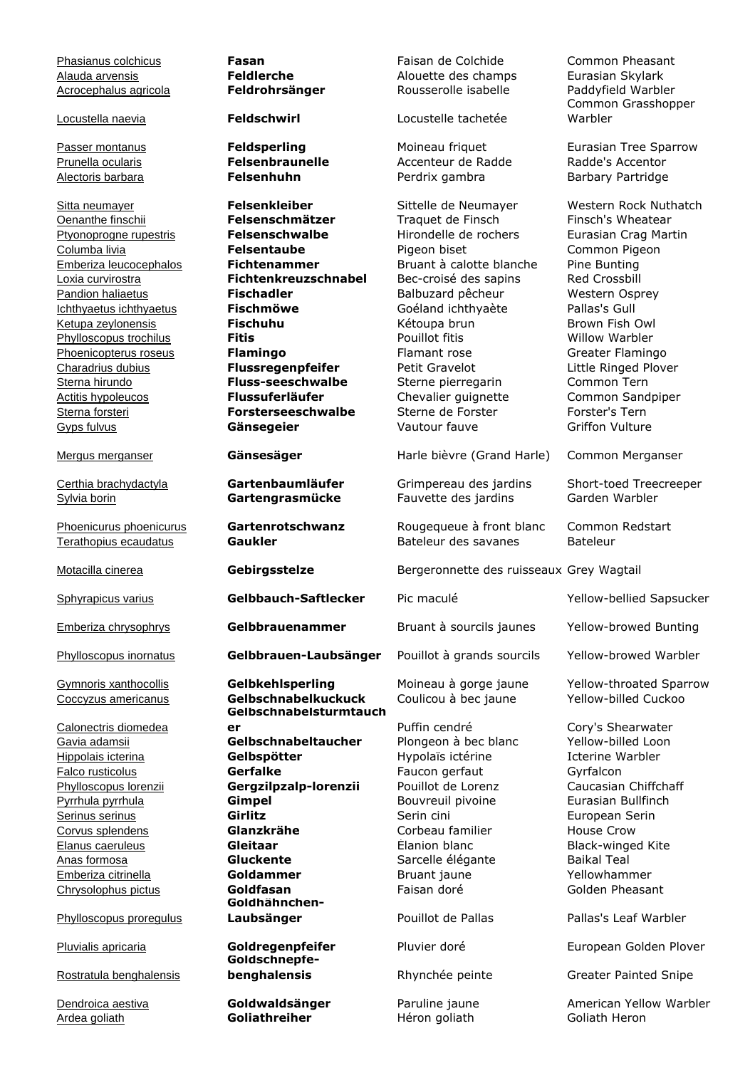Phasianus colchicus **Fasan** Faisan de Colchide Common Pheasant Alauda arvensis **Feldlerche** Alouette des champs Eurasian Skylark Acrocephalus agricola **Feldrohrsänger** Rousserolle isabelle Locustella naevia **Feldschwirl** Locustelle tachetée Common Grasshopper Warbler Passer montanus **Feldsperling** Moineau friquet Eurasian Tree Sparrow Prunella ocularis **Felsenbraunelle** Accenteur de Radde Radde's Accentor Alectoris barbara **Felsenhuhn** Perdrix gambra Barbary Partridge Sitta neumayer **Felsenkleiber** Sittelle de Neumayer Western Rock Nuthatch Oenanthe finschii **Felsenschmätzer** Traquet de Finsch Finsch's Wheatear Ptyonoprogne rupestris **Felsenschwalbe** Hirondelle de rochers Eurasian Crag Martin Columba livia **Felsentaube** Pigeon biset Common Pigeon Emberiza leucocephalos **Fichtenammer** Bruant à calotte blanche Pine Bunting Loxia curvirostra **Fichtenkreuzschnabel** Bec-croisé des sapins Red Crossbill Pandion haliaetus **Fischadler** Balbuzard pêcheur Western Osprey Ichthyaetus ichthyaetus **Fischmöwe** Goéland ichthyaète Pallas's Gull Ketupa zeylonensis **Fischuhu Fischuhu** Kétoupa brun Brown Fish Owl Phylloscopus trochilus **Fitis** Pouillot fitis Willow Warbler Phoenicopterus roseus **Flamingo** Flamant rose Greater Flamingo Charadrius dubius **Flussregenpfeifer** Petit Gravelot Little Ringed Plover Sterna hirundo **Fluss-seeschwalbe** Sterne pierregarin Common Tern Actitis hypoleucos **Flussuferläufer** Chevalier guignette Common Sandpiper Sterna forsteri **Forsterseeschwalbe** Sterne de Forster Forster's Tern Gyps fulvus **Gänsegeier** Vautour fauve Griffon Vulture Mergus merganser **Gänsesäger** Harle bièvre (Grand Harle) Common Merganser Certhia brachydactyla **Gartenbaumläufer** Grimpereau des jardins Short-toed Treecreeper Sylvia borin **Gartengrasmücke** Fauvette des jardins Garden Warbler Phoenicurus phoenicurus **Gartenrotschwanz** Rougequeue à front blanc Common Redstart Terathopius ecaudatus **Gaukler Gaukler** Bateleur des savanes Bateleur Motacilla cinerea **Gebirgsstelze** Bergeronnette des ruisseaux Grey Wagtail Sphyrapicus varius **Gelbbauch-Saftlecker** Pic maculé Yellow-bellied Sapsucker Emberiza chrysophrys **Gelbbrauenammer** Bruant à sourcils jaunes Yellow-browed Bunting Phylloscopus inornatus **Gelbbrauen-Laubsänger** Pouillot à grands sourcils Yellow-browed Warbler Gymnoris xanthocollis **Gelbkehlsperling** Moineau à gorge jaune Yellow-throated Sparrow Coccyzus americanus **Gelbschnabelkuckuck** Coulicou à bec jaune Yellow-billed Cuckoo Calonectris diomedea **Gelbschnabelsturmtauch er er Puffin cendré** Cory's Shearwater **Gavia adamsii Gelbschnabeltaucher** Plongeon à bec blanc Yellow-billed Loon<br>
Hypolais icterina **Gelbspötter** Hypolaïs ictérine Vertine Warbler Hippolais icterina **Gelbspötter** Hypolaïs ictérine Falco rusticolus **Gerfalke** Faucon gerfaut Gyrfalcon Phylloscopus lorenzii **Gergzilpzalp-lorenzii** Pouillot de Lorenz Caucasian Chiffchaff Pyrrhula pyrrhula **Gimpel** Bouvreuil pivoine Eurasian Bullfinch Serinus serinus **Girlitz Girlitz** Serin cini **European Serin** Corvus splendens **Glanzkrähe** Corbeau familier House Crow Elanus caeruleus **Gleitaar** Élanion blanc Black-winged Kite Anas formosa **Gluckente** Sarcelle élégante Baikal Teal Emberiza citrinella **Goldammer** Bruant jaune Yellowhammer Chrysolophus pictus **Goldfasan** Faisan doré Golden Pheasant Phylloscopus proregulus **Goldhähnchen-Laubsänger Pouillot de Pallas Pallas's Leaf Warbler** Pluvialis apricaria **Goldregenpfeifer** Pluvier doré European Golden Plover Rostratula benghalensis **Goldschnepfebenghalensis Rhynchée peinte** Greater Painted Snipe **Dendroica aestiva Coldwaldsänger** Paruline jaune American Yellow Warbler Ardea goliath **Goliathreiher** Héron goliath Goliath Heron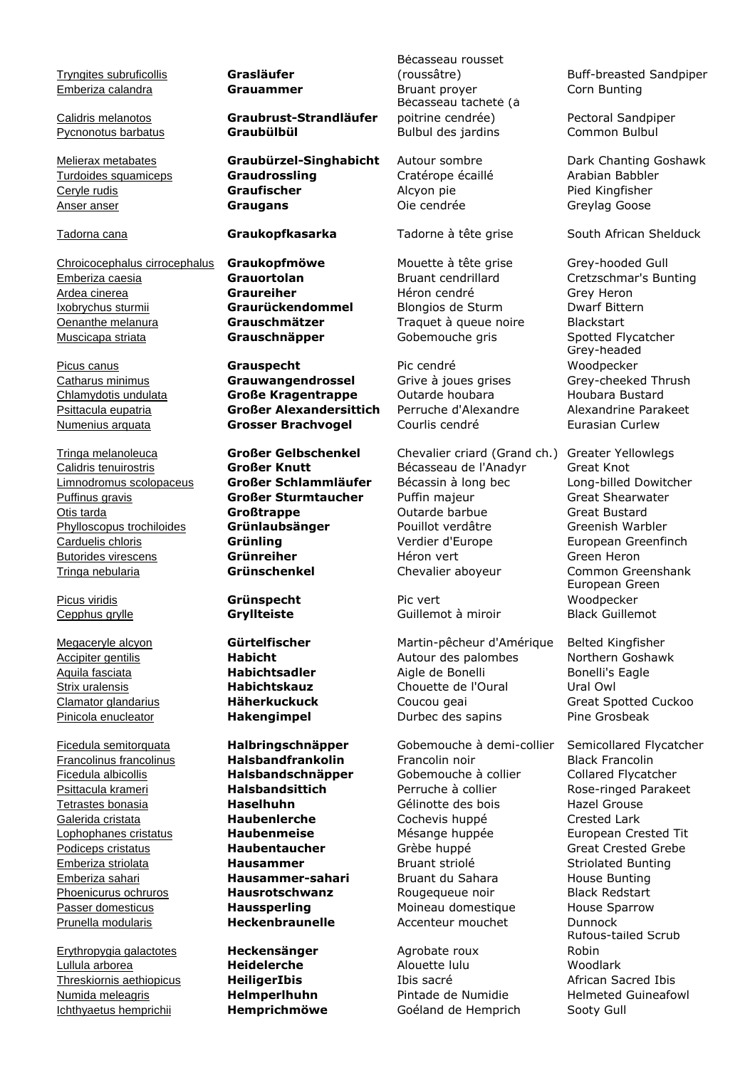Tryngites subruficollis **Grasläufer**

Chroicocephalus cirrocephalus **Graukopfmöwe** Mouette à tête grise Grey-hooded Gull Emberiza caesia **Grauortolan** Bruant cendrillard Cretzschmar's Bunting Ardea cinerea **Graureiher** Héron cendré Grey Heron Ixobrychus sturmii **Graurückendommel** Blongios de Sturm Dwarf Bittern Oenanthe melanura **Grauschmätzer** Traquet à queue noire Blackstart Muscicapa striata **Grauschnäpper** Gobemouche gris Spotted Flycatcher

Picus viridis **Grünspecht** Pic vert

Erythropygia galactotes **Heckensänger** Agrobate roux Lullula arborea **Heidelerche** Alouette lulu Woodlark Threskiornis aethiopicus **HeiligerIbis** Ibis sacré African Sacred Ibis Numida meleagris **Helmperlhuhn** Pintade de Numidie Helmeted Guineafowl Ichthyaetus hemprichii **Hemprichmöwe** Goéland de Hemprich Sooty Gull

Calidris melanotos **Graubrust-Strandläufer** Pycnonotus barbatus **Graubülbül** Bulbul des jardins Common Bulbul

Turdoides squamiceps **Graudrossling** Cratérope écaillé Arabian Babbler Ceryle rudis **Graufischer** Alcyon pie Pied Kingfisher Anser anser **Graugans** Oie cendrée Greylag Goose

Picus canus **Grauspecht** Pic cendré Catharus minimus **Grauwangendrossel** Grive à joues grises Grey-cheeked Thrush Chlamydotis undulata **Große Kragentrappe** Outarde houbara Houbara Bustard Psittacula eupatria **Großer Alexandersittich** Perruche d'Alexandre Alexandrine Parakeet Numenius arquata **Grosser Brachvogel** Courlis cendré **Eurasian Curlew** 

Bécasseau rousset Emberiza calandra **Grauammer** Bruant proyer Corn Bunting Bécasseau tacheté (à poitrine cendrée) Pectoral Sandpiper

Tringa melanoleuca **Großer Gelbschenkel** Chevalier criard (Grand ch.) Greater Yellowlegs Calidris tenuirostris **Großer Knutt** Bécasseau de l'Anadyr Great Knot Limnodromus scolopaceus **Großer Schlammläufer** Bécassin à long bec Long-billed Dowitcher Puffinus gravis **Großer Sturmtaucher** Puffin majeur Great Shearwater Otis tarda **Großtrappe** Outarde barbue Great Bustard Phylloscopus trochiloides **Grünlaubsänger** Pouillot verdâtre Greenish Warbler Carduelis chloris **Grünling Grünling** Verdier d'Europe European Greenfinch Butorides virescens **Grünreiher** Héron vert Green Heron Green Heron Tringa nebularia **Grünschenkel** Chevalier aboyeur Common Greenshank

Cepphus grylle **Gryllteiste** Guillemot à miroir Black Guillemot

Megaceryle alcyon **Gürtelfischer** Martin-pêcheur d'Amérique Belted Kingfisher Accipiter gentilis **Habicht** Autour des palombes Northern Goshawk Aquila fasciata **Habichtsadler** Aigle de Bonelli Bonelli's Eagle Strix uralensis **Habichtskauz** Chouette de l'Oural Ural Owl Clamator glandarius **Häherkuckuck** Coucou geai Great Spotted Cuckoo Pinicola enucleator **Hakengimpel Durbec des sapins** Pine Grosbeak

**Francolinus francolinus <b>Halsbandfrankolin** Francolin noir Black Francolin Ficedula albicollis **Halsbandschnäpper** Gobemouche à collier Collared Flycatcher Psittacula krameri **Halsbandsittich** Perruche à collier Rose-ringed Parakeet Tetrastes bonasia **Haselhuhn** Gélinotte des bois Hazel Grouse Galerida cristata **Haubenlerche** Cochevis huppé Crested Lark Lophophanes cristatus **Haubenmeise** Mésange huppée European Crested Tit Podiceps cristatus **Haubentaucher** Grèbe huppé Great Crested Grebe Emberiza striolata **Hausammer** Bruant striolé Striolated Bunting Emberiza sahari **Hausammer-sahari** Bruant du Sahara House Bunting Phoenicurus ochruros **Hausrotschwanz** Rougequeue noir Black Redstart Passer domesticus **Haussperling** Moineau domestique House Sparrow Prunella modularis **Heckenbraunelle** Accenteur mouchet Dunnock

(roussâtre) Buff-breasted Sandpiper

Melierax metabates **Graubürzel-Singhabicht** Autour sombre Dark Chanting Goshawk

Tadorna cana **Graukopfkasarka** Tadorne à tête grise South African Shelduck

Grey-headed Woodpecker

European Green Woodpecker

Ficedula semitorquata **Halbringschnäpper** Gobemouche à demi-collier Semicollared Flycatcher Rufous-tailed Scrub Robin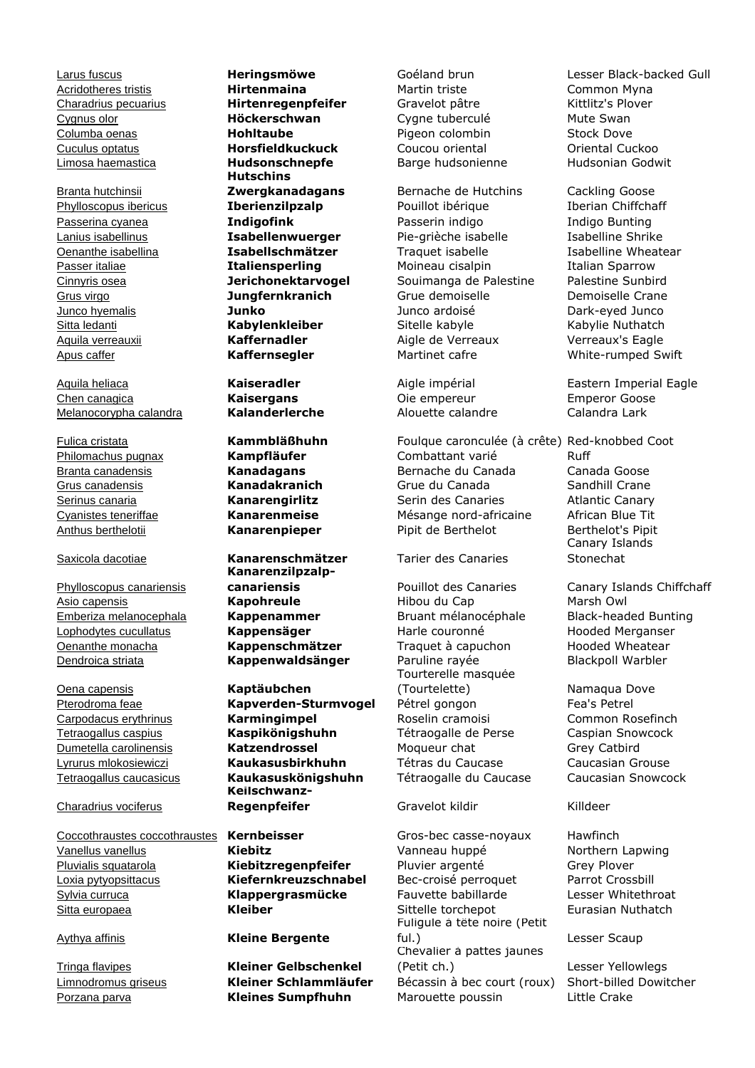Branta hutchinsii

Chen canagica **Kaisergans** Oie empereur Emperor Goose Melanocorypha calandra **Kalanderlerche** Alouette calandre Calandra Lark

Phylloscopus canariensis Dendroica striata **Kappenwaldsänger** Paruline rayée

Oena capensis **Kaptäubchen**

Charadrius vociferus

Coccothraustes coccothraustes **Kernbeisser** Gros-bec casse-noyaux Hawfinch Vanellus vanellus **Kiebitz** Vanneau huppé Northern Lapwing Pluvialis squatarola **Kiebitzregenpfeifer** Pluvier argenté Grey Plover Loxia pytyopsittacus **Kiefernkreuzschnabel** Bec-croisé perroquet Parrot Crossbill Sylvia curruca **Klappergrasmücke** Sitta europaea **Kleiber Kleiber** Sittelle torchepot Eurasian Nuthatch

Acridotheres tristis **Hirtenmaina** Martin triste Martin triste Common Myna Charadrius pecuarius **Hirtenregenpfeifer** Gravelot pâtre Kittlitz's Plover Cygnus olor **Höckerschwan** Cygne tuberculé Mute Swan Columba oenas **Hohltaube** Pigeon colombin Stock Dove **Cuculus optatus <b>Horsfieldkuckuck** Coucou oriental Limosa haemastica **Hudsonschnepfe** Barge hudsonienne Hudsonian Godwit **Hutschins Zwergkanadagans** Bernache de Hutchins Cackling Goose

Saxicola dacotiae **Kanarenschmätzer** Tarier des Canaries **Kanarenzilpzalp-**

Pterodroma feae **Kapverden-Sturmvogel** Pétrel gongon Fea's Petrel Carpodacus erythrinus **Karmingimpel** Roselin cramoisi Common Rosefinch Tetraogallus caspius **Kaspikönigshuhn** Tétraogalle de Perse Caspian Snowcock Dumetella carolinensis **Katzendrossel** Moqueur chat Grey Catbird Lyrurus mlokosiewiczi **Kaukasusbirkhuhn** Tétras du Caucase Caucasian Grouse Tetraogallus caucasicus **Kaukasuskönigshuhn** Tétraogalle du Caucase Caucasian Snowcock **Keilschwanz-Regenpfeifer** Gravelot kildir Killdeer

### Aythya affinis **Kleine Bergente**

Tringa flavipes **Kleiner Gelbschenkel**

Phylloscopus ibericus **Iberienzilpzalp** Pouillot ibérique Iberian Chiffchaff Passerina cyanea **Indigofink** Passerin indigo Indigo Bunting Lanius isabellinus **Isabellenwuerger** Pie-grièche isabelle Isabelline Shrike Oenanthe isabellina **Isabellschmätzer** Traquet isabelle Isabelline Wheatear Passer italiae **Italiensperling** Moineau cisalpin Italian Sparrow Cinnyris osea **Jerichonektarvogel** Souimanga de Palestine Palestine Sunbird Grus virgo **Jungfernkranich** Grue demoiselle Demoiselle Crane Junco hyemalis **Junko** Junco ardoisé Dark-eyed Junco Sitta ledanti **Kabylenkleiber** Sitelle kabyle Kabylie Nuthatch Aquila verreauxii **Kaffernadler** Aigle de Verreaux verreaux's Eagle Apus caffer **Kaffernsegler** Martinet cafre White-rumped Swift

Fulica cristata **Kammbläßhuhn** Foulque caronculée (à crête) Red-knobbed Coot Philomachus pugnax **Kampfläufer** Combattant varié Ruff Branta canadensis **Kanadagans** Bernache du Canada Canada Goose Grus canadensis **Kanadakranich** Grue du Canada Sandhill Crane Serinus canaria **Kanarengirlitz** Serin des Canaries Atlantic Canary Cyanistes teneriffae **Kanarenmeise** Mésange nord-africaine African Blue Tit Anthus berthelotii **Kanarenpieper** Pipit de Berthelot Berthelot's Pipit

Asio capensis **Kapohreule** Hibou du Cap Marsh Owl Emberiza melanocephala **Kappenammer** Bruant mélanocéphale Black-headed Bunting Lophodytes cucullatus **Kappensäger** Harle couronné Hooded Merganser **Oenanthe monacha Kappenschmätzer** Traquet à capuchon Hooded Wheatear<br>
<u>Dendroica striata</u> **Kappenwaldsänger** Paruline rayée Blackpoll Warbler Tourterelle masquée (Tourtelette) Namaqua Dove

Fuligule à tête noire (Petit ful.) Lesser Scaup Chevalier à pattes jaunes (Petit ch.) Lesser Yellowlegs Limnodromus griseus **Kleiner Schlammläufer** Bécassin à bec court (roux) Short-billed Dowitcher Porzana parva **Kleines Sumpfhuhn** Marouette poussin Little Crake

Larus fuscus **Heringsmöwe** Goéland brun Lesser Black-backed Gull

Aquila heliaca **Kaiseradler** Aigle impérial Eastern Imperial Eagle

Canary Islands Stonechat

**canariensis Pouillot des Canaries** Canary Islands Chiffchaff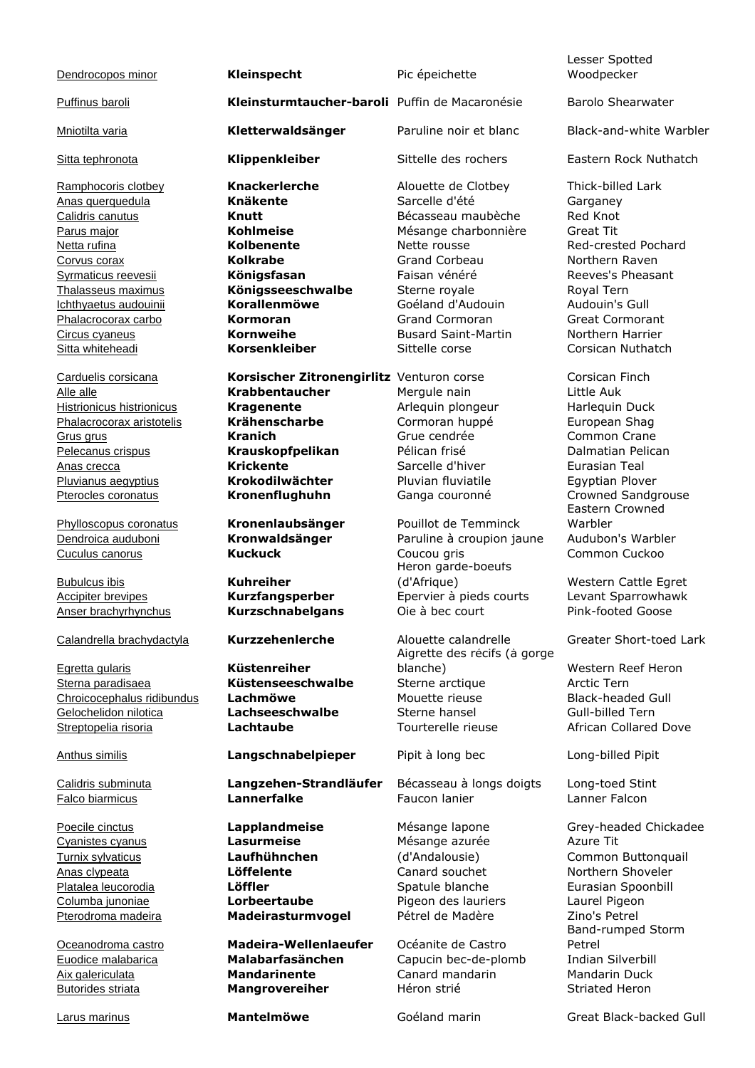|                                  |                                                |                                                      | Lesser Spotted                               |
|----------------------------------|------------------------------------------------|------------------------------------------------------|----------------------------------------------|
| Dendrocopos minor                | Kleinspecht                                    | Pic épeichette                                       | Woodpecker                                   |
| Puffinus baroli                  | Kleinsturmtaucher-baroli Puffin de Macaronésie |                                                      | <b>Barolo Shearwater</b>                     |
| <b>Mniotilta varia</b>           | Kletterwaldsänger                              | Paruline noir et blanc                               | Black-and-white Warbler                      |
| Sitta tephronota                 | Klippenkleiber                                 | Sittelle des rochers                                 | Eastern Rock Nuthatch                        |
| Ramphocoris clotbey              | <b>Knackerlerche</b>                           | Alouette de Clotbey                                  | Thick-billed Lark                            |
| Anas querquedula                 | <b>Knäkente</b>                                | Sarcelle d'été                                       | Garganey                                     |
| Calidris canutus                 | Knutt                                          | Bécasseau maubèche                                   | Red Knot                                     |
| Parus major                      | <b>Kohlmeise</b>                               | Mésange charbonnière                                 | <b>Great Tit</b>                             |
| Netta rufina                     | Kolbenente                                     | Nette rousse                                         | Red-crested Pochard                          |
| Corvus corax                     | <b>Kolkrabe</b>                                | Grand Corbeau                                        | Northern Raven                               |
| Syrmaticus reevesii              | Königsfasan                                    | Faisan vénéré                                        | Reeves's Pheasant                            |
| Thalasseus maximus               | Königsseeschwalbe                              | Sterne royale                                        | Royal Tern                                   |
| Ichthyaetus audouinii            | Korallenmöwe                                   | Goéland d'Audouin                                    | Audouin's Gull                               |
| Phalacrocorax carbo              | Kormoran                                       | <b>Grand Cormoran</b>                                | <b>Great Cormorant</b>                       |
| Circus cyaneus                   | <b>Kornweihe</b>                               | <b>Busard Saint-Martin</b>                           | Northern Harrier                             |
| Sitta whiteheadi                 | <b>Korsenkleiber</b>                           | Sittelle corse                                       | Corsican Nuthatch                            |
| Carduelis corsicana              | Korsischer Zitronengirlitz Venturon corse      |                                                      | Corsican Finch                               |
| Alle alle                        | <b>Krabbentaucher</b>                          | Mergule nain                                         | Little Auk                                   |
| <b>Histrionicus histrionicus</b> | <b>Kragenente</b>                              | Arlequin plongeur                                    | Harlequin Duck                               |
| Phalacrocorax aristotelis        | Krähenscharbe                                  | Cormoran huppé                                       | European Shag                                |
| Grus grus                        | <b>Kranich</b>                                 | Grue cendrée                                         | Common Crane                                 |
| Pelecanus crispus                | Krauskopfpelikan                               | Pélican frisé                                        | Dalmatian Pelican                            |
| Anas crecca                      | <b>Krickente</b>                               | Sarcelle d'hiver                                     | Eurasian Teal                                |
| Pluvianus aegyptius              | Krokodilwächter                                | Pluvian fluviatile                                   | Egyptian Plover                              |
| Pterocles coronatus              | Kronenflughuhn                                 | Ganga couronné                                       | <b>Crowned Sandgrouse</b><br>Eastern Crowned |
| Phylloscopus coronatus           | Kronenlaubsänger                               | Pouillot de Temminck                                 | Warbler                                      |
| Dendroica auduboni               | Kronwaldsänger                                 | Paruline à croupion jaune                            | Audubon's Warbler                            |
| Cuculus canorus                  | <b>Kuckuck</b>                                 | Coucou gris<br>Héron garde-boeufs                    | Common Cuckoo                                |
| <b>Bubulcus ibis</b>             | <b>Kuhreiher</b>                               | (d'Afrique)                                          | Western Cattle Egret                         |
| <b>Accipiter brevipes</b>        | Kurzfangsperber                                | Épervier à pieds courts                              | Levant Sparrowhawk                           |
| Anser brachyrhynchus             | Kurzschnabelgans                               | Oie à bec court                                      | Pink-footed Goose                            |
| Calandrella brachydactyla        | Kurzzehenlerche                                | Alouette calandrelle<br>Aigrette des récifs (à gorge | Greater Short-toed Lark                      |
| Egretta gularis                  | Küstenreiher                                   | blanche)                                             | Western Reef Heron                           |
| Sterna paradisaea                | Küstenseeschwalbe                              | Sterne arctique                                      | Arctic Tern                                  |
| Chroicocephalus ridibundus       | Lachmöwe                                       | Mouette rieuse                                       | <b>Black-headed Gull</b>                     |
| Gelochelidon nilotica            | Lachseeschwalbe                                | Sterne hansel                                        | Gull-billed Tern                             |
| Streptopelia risoria             | Lachtaube                                      | Tourterelle rieuse                                   | <b>African Collared Dove</b>                 |
| <b>Anthus similis</b>            | Langschnabelpieper                             | Pipit à long bec                                     | Long-billed Pipit                            |
| Calidris subminuta               | Langzehen-Strandläufer                         | Bécasseau à longs doigts                             | Long-toed Stint                              |
| Falco biarmicus                  | <b>Lannerfalke</b>                             | Faucon lanier                                        | Lanner Falcon                                |
| Poecile cinctus                  | Lapplandmeise                                  | Mésange lapone                                       | Grey-headed Chickadee                        |
| <b>Cyanistes cyanus</b>          | <b>Lasurmeise</b>                              | Mésange azurée                                       | Azure Tit                                    |
| Turnix sylvaticus                | Laufhühnchen                                   | (d'Andalousie)                                       | Common Buttonquail                           |
| Anas clypeata                    | Löffelente                                     | Canard souchet                                       | Northern Shoveler                            |
| Platalea leucorodia              | Löffler                                        | Spatule blanche                                      | Eurasian Spoonbill                           |
| Columba junoniae                 | Lorbeertaube                                   | Pigeon des lauriers                                  | Laurel Pigeon                                |
| Pterodroma madeira               | Madeirasturmvogel                              | Pétrel de Madère                                     | Zino's Petrel                                |
|                                  |                                                |                                                      | Band-rumped Storm                            |
| Oceanodroma castro               | <b>Madeira-Wellenlaeufer</b>                   | Océanite de Castro                                   | Petrel                                       |
| Euodice malabarica               | Malabarfasänchen                               | Capucin bec-de-plomb                                 | Indian Silverbill                            |
| Aix galericulata                 | <b>Mandarinente</b>                            | Canard mandarin                                      | Mandarin Duck                                |
| <b>Butorides striata</b>         | Mangrovereiher                                 | Héron strié                                          | <b>Striated Heron</b>                        |
|                                  |                                                |                                                      |                                              |
| Larus marinus                    | <b>Mantelmöwe</b>                              | Goéland marin                                        | Great Black-backed Gull                      |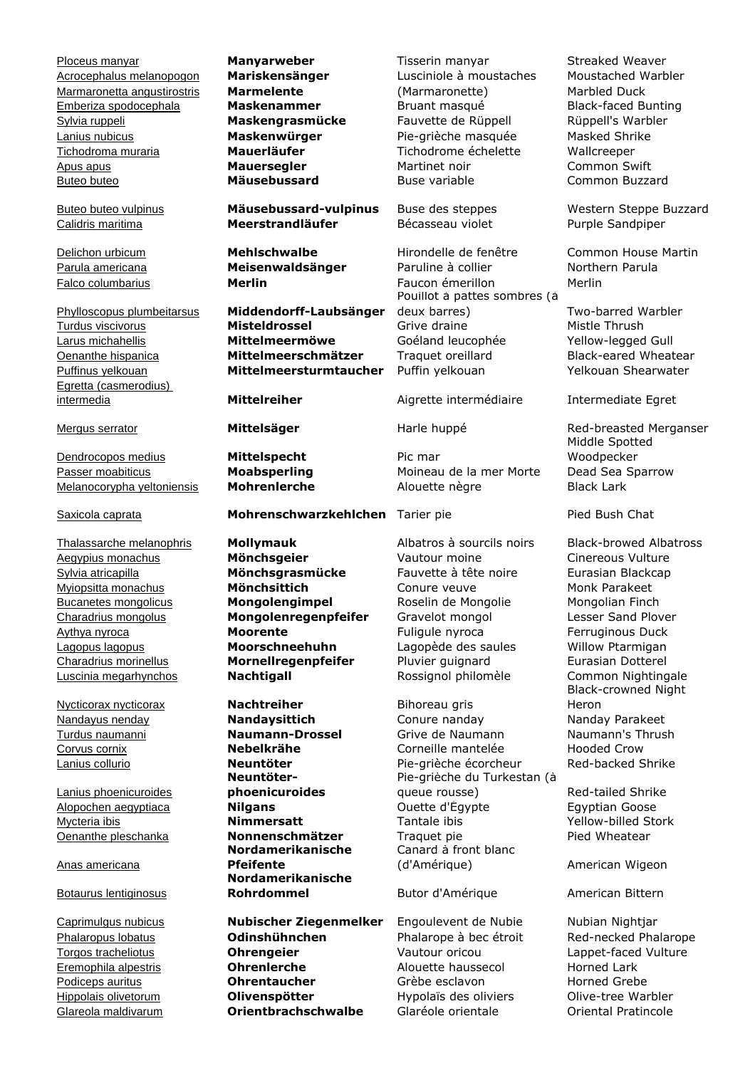Ploceus manyar **Manyarweber** Tisserin manyar Streaked Weaver Acrocephalus melanopogon **Mariskensänger** Lusciniole à moustaches Moustached Warbler Marmaronetta angustirostris **Marmelente** (Marmaronette) Marbled Duck Emberiza spodocephala **Maskenammer** Bruant masqué Black-faced Bunting Sylvia ruppeli **Maskengrasmücke** Fauvette de Rüppell Rüppell's Warbler Lanius nubicus **Maskenwürger** Pie-grièche masquée Masked Shrike Tichodroma muraria **Mauerläufer** Tichodrome échelette Wallcreeper Apus apus **Mauersegler** Martinet noir Common Swift Buteo buteo **Mäusebussard** Buse variable Common Buzzard

Egretta (casmerodius) intermedia **Mittelreiher** Aigrette intermédiaire Intermediate Egret

**Dendrocopos medius Mittelspecht** Pic mar

Luscinia megarhynchos **Nachtigall** Rossignol philomèle Common Nightingale

Lanius phoenicuroides

Anas americana

Botaurus lentiginosus

Calidris maritima **Meerstrandläufer** Bécasseau violet Purple Sandpiper

Phylloscopus plumbeitarsus **Middendorff-Laubsänger** Turdus viscivorus **Misteldrossel** Grive draine Mistle Thrush Larus michahellis **Mittelmeermöwe** Goéland leucophée Yellow-legged Gull Oenanthe hispanica **Mittelmeerschmätzer** Traquet oreillard Black-eared Wheatear Puffinus yelkouan **Mittelmeersturmtaucher** Puffin yelkouan Yelkouan Shearwater

### Saxicola caprata **Mohrenschwarzkehlchen** Tarier pie Pied Bush Chat

Aegypius monachus **Mönchsgeier** Vautour moine Cinereous Vulture Sylvia atricapilla **Mönchsgrasmücke** Fauvette à tête noire Eurasian Blackcap Myiopsitta monachus **Mönchsittich** Conure veuve Monk Parakeet Bucanetes mongolicus **Mongolengimpel** Roselin de Mongolie Mongolian Finch Charadrius mongolus **Mongolenregenpfeifer** Gravelot mongol Lesser Sand Plover Aythya nyroca **Moorente Moorente** Fuligule nyroca Ferruginous Duck<br>Lagopus lagopus **Moorschneehuhn** Lagopède des saules Willow Ptarmigan Lagopus lagopus **Moorschneehuhn** Lagopède des saules Charadrius morinellus **Mornellregenpfeifer** Pluvier guignard Eurasian Dotterel

Nycticorax nycticorax **Nachtreiher** Bihoreau gris **Neuntöterphoenicuroides Nordamerikanische Pfeifente Nordamerikanische Rohrdommel** Butor d'Amérique American Bittern

Caprimulgus nubicus **Nubischer Ziegenmelker** Engoulevent de Nubie Nubian Nightjar Phalaropus lobatus **Odinshühnchen** Phalarope à bec étroit Red-necked Phalarope Torgos tracheliotus **Ohrengeier** Vautour oricou Lappet-faced Vulture Eremophila alpestris **Ohrenlerche** Alouette haussecol Horned Lark Podiceps auritus **Chrentaucher** Grèbe esclavon Horned Grebe Hippolais olivetorum **Olivenspötter** Hypolaïs des oliviers Olive-tree Warbler Glareola maldivarum **Orientbrachschwalbe** Glaréole orientale Oriental Pratincole

Delichon urbicum **Mehlschwalbe** Hirondelle de fenêtre Common House Martin Parula americana **Meisenwaldsänger** Paruline à collier **Northern Parula** Falco columbarius **Merlin** Faucon émerillon Merlin Pouillot à pattes sombres (à deux barres) Two-barred Warbler

Passer moabiticus **Moabsperling** Moineau de la mer Morte Dead Sea Sparrow Melanocorypha yeltoniensis **Mohrenlerche** Alouette nègre Black Lark

Nandayus nenday **Nandaysittich** Conure nanday Nanday Parakeet Turdus naumanni **Naumann-Drossel** Grive de Naumann Naumann's Thrush Corvus cornix **Nebelkrähe** Corneille mantelée Hooded Crow Lanius collurio **Neuntöter** Pie-grièche écorcheur Red-backed Shrike Pie-grièche du Turkestan (à queue rousse) Red-tailed Shrike Alopochen aegyptiaca **Nilgans** Ouette d'Égypte Egyptian Goose Mycteria ibis **Nimmersatt** Tantale ibis Yellow-billed Stork Oenanthe pleschanka **Nonnenschmätzer** Traquet pie Pied Wheatear Canard à front blanc (d'Amérique) American Wigeon

Buteo buteo vulpinus **Mäusebussard-vulpinus** Buse des steppes Western Steppe Buzzard

Mergus serrator **Mittelsäger** Harle huppé Red-breasted Merganser Middle Spotted Woodpecker

Thalassarche melanophris **Mollymauk** Albatros à sourcils noirs Black-browed Albatross Black-crowned Night Heron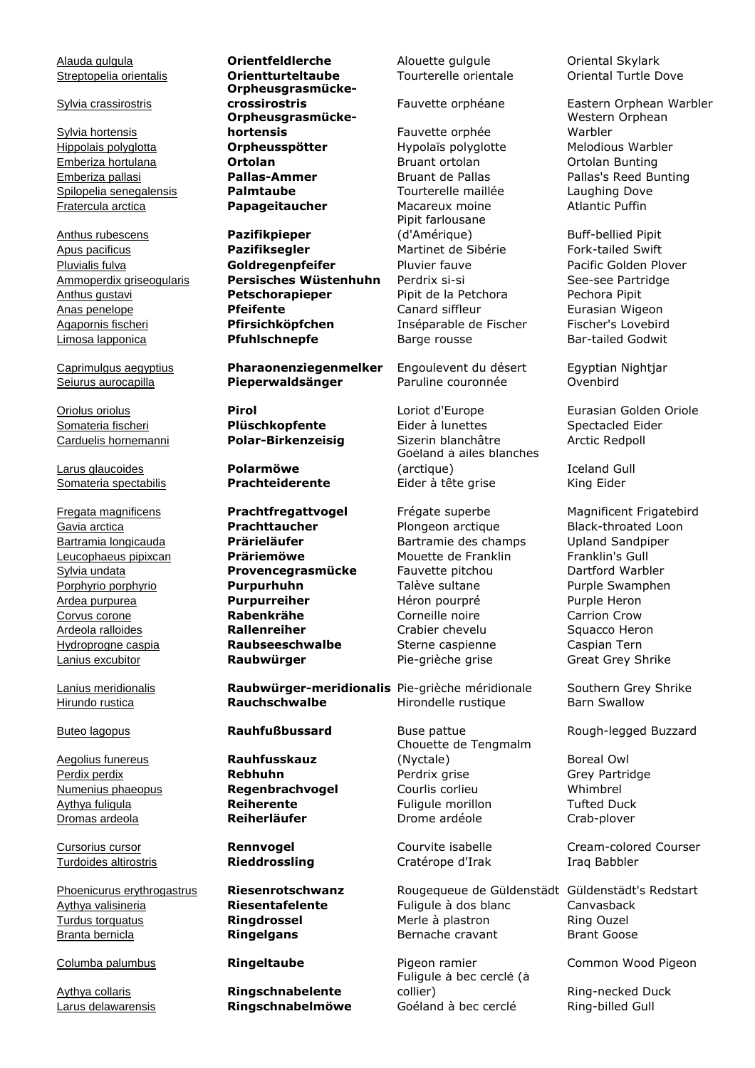Sylvia crassirostris

Sylvia hortensis

Anthus rubescens **Pazifikpieper**

Larus glaucoides **Polarmöwe**

Aegolius funereus **Rauhfusskauz**

Turdoides altirostris **Rieddrossling** Cratérope d'Irak Iraq Babbler

Streptopelia orientalis **Orientturteltaube** Tourterelle orientale Oriental Turtle Dove **Orpheusgrasmücke-Orpheusgrasmückehortensis** Fauvette orphée Hippolais polyglotta **Orpheusspötter** Hypolaïs polyglotte Melodious Warbler Emberiza hortulana **Ortolan** Bruant ortolan Ortolan Bunting Emberiza pallasi **Pallas-Ammer** Bruant de Pallas Pallas's Reed Bunting Spilopelia senegalensis **Palmtaube** Tourterelle maillée Laughing Dove Fratercula arctica **Papageitaucher** Macareux moine Atlantic Puffin

Apus pacificus **Pazifiksegler** Martinet de Sibérie Fork-tailed Swift Pluvialis fulva **Goldregenpfeifer** Pluvier fauve Pacific Golden Plover Ammoperdix griseogularis **Persisches Wüstenhuhn** Perdrix si-si See-see Partridge Anthus gustavi **Petschorapieper** Pipit de la Petchora Pechora Pipit Anas penelope **Pfeifente** Canard siffleur Eurasian Wigeon Agapornis fischeri **Pfirsichköpfchen** Inséparable de Fischer Fischer's Lovebird Limosa lapponica **Pfuhlschnepfe** Barge rousse Bar-tailed Godwit

Caprimulgus aegyptius **Pharaonenziegenmelker** Engoulevent du désert Egyptian Nightjar Seiurus aurocapilla **Pieperwaldsänger** Paruline couronnée Ovenbird

Gavia arctica **Prachttaucher** Plongeon arctique Black-throated Loon Bartramia longicauda **Prärieläufer** Bartramie des champs Upland Sandpiper Leucophaeus pipixcan **Präriemöwe** Mouette de Franklin Franklin's Gull Sylvia undata **Provencegrasmücke** Fauvette pitchou Dartford Warbler Porphyrio porphyrio **Purpurhuhn** Talève sultane Purple Swamphen Ardea purpurea **Purpurreiher** Héron pourpré Purple Heron Corvus corone **Rabenkrähe** Corneille noire Carrion Crow Ardeola ralloides **Rallenreiher** Crabier chevelu Squacco Heron Hydroprogne caspia **Raubseeschwalbe** Sterne caspienne Caspian Tern

Lanius meridionalis **Raubwürger-meridionalis** Pie-grièche méridionale Southern Grey Shrike Hirundo rustica **Rauchschwalbe** Hirondelle rustique Barn Swallow

Aythya collaris **Ringschnabelente**

Alauda gulgula **Orientfeldlerche** Alouette gulgule Oriental Skylark

Pipit farlousane (d'Amérique) Buff-bellied Pipit

Somateria fischeri **Plüschkopfente** Eider à lunettes Spectacled Eider and the Spectacled Eider and the Spectacled Eider and the Spectacled Eider and the Spectacled Eider and the Sizerin blanchâtre and the Arctic Redpoll an Carduelis hornemanni **Polar-Birkenzeisig** Sizerin blanchâtre Arctic Redpoll Goéland à ailes blanches (arctique) **Iceland Gull** Somateria spectabilis **Prachteiderente** Eider à tête grise King Eider

Lanius excubitor **Raubwürger** Pie-grièche grise Great Grey Shrike

Chouette de Tengmalm (Nyctale) Boreal Owl Perdix perdix **Rebhuhn** Perdrix grise Grey Partridge Numenius phaeopus **Regenbrachvogel** Courlis corlieu Whimbrel Aythya fuligula **Reiherente** Fuliqule morillon Tufted Duck **Dromas ardeola Reiherläufer** Drome ardéole Crab-plover

Phoenicurus erythrogastrus **Riesenrotschwanz** Rougequeue de Güldenstädt Güldenstädt's Redstart Aythya valisineria **Riesentafelente** Fuligule à dos blanc Canvasback Turdus torquatus **Ringdrossel** Merle à plastron Ring Ouzel Branta bernicla **Ringelgans** Bernache cravant Brant Goose

Fuligule à bec cerclé (à collier) Ring-necked Duck Larus delawarensis **Ringschnabelmöwe** Goéland à bec cerclé Ring-billed Gull

**crossirostris** Fauvette orphéane Eastern Orphean Warbler Western Orphean Warbler

Oriolus oriolus **Pirol** Loriot d'Europe Eurasian Golden Oriole

Fregata magnificens **Prachtfregattvogel** Frégate superbe Magnificent Frigatebird

Buteo lagopus **Rauhfußbussard** Buse pattue Rough-legged Buzzard

Cursorius cursor **Rennvogel** Courvite isabelle Cream-colored Courser

Columba palumbus **Ringeltaube** Pigeon ramier Common Wood Pigeon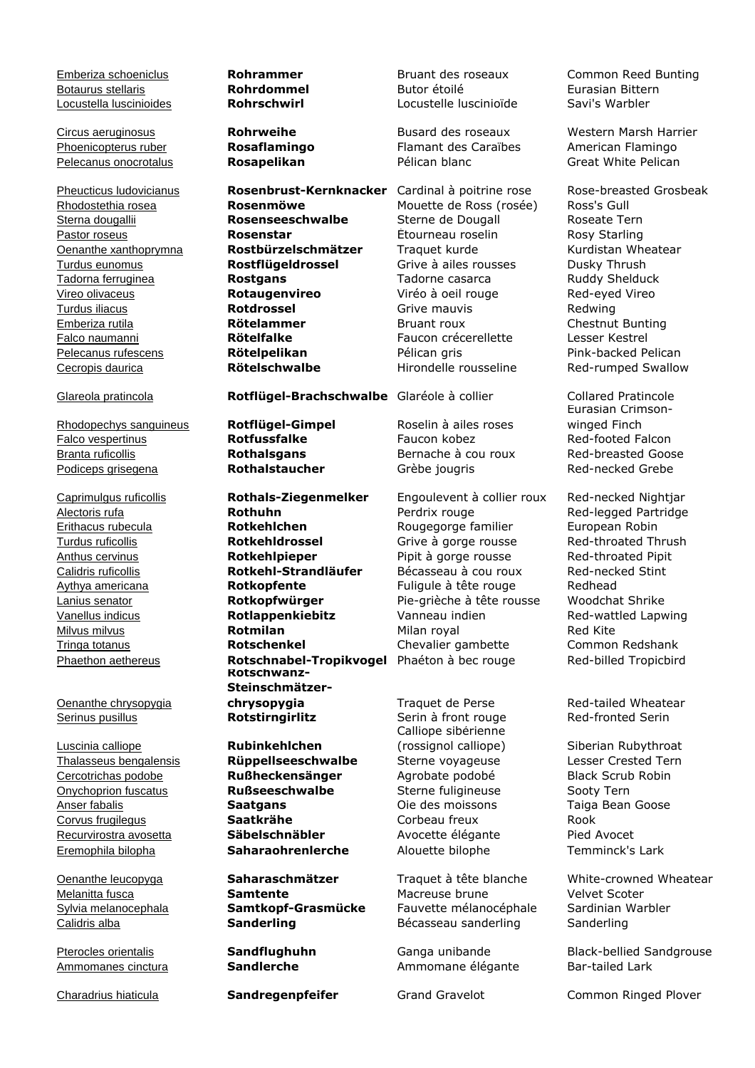Cecropis daurica **Rötelschwalbe** Hirondelle rousseline Red-rumped Swallow

Falco vespertinus **Rotfussfalke** Faucon kobez Red-footed Falcon Branta ruficollis **Rothalsgans** Bernache à cou roux Red-breasted Goose Podiceps grisegena **Rothalstaucher** Grèbe jougris

Oenanthe chrysopygia

Luscinia calliope **Rubinkehlchen** Eremophila bilopha **Saharaohrenlerche** Alouette bilophe Temminck's Lark

Rhodostethia rosea **Rosenmöwe** Mouette de Ross (rosée) Ross's Gull Sterna dougallii **Rosenseeschwalbe** Sterne de Dougall Roseate Tern Pastor roseus **Rosenstar Rosenstar** Etourneau roselin Rosy Starling Oenanthe xanthoprymna **Rostbürzelschmätzer** Traquet kurde Kurdistan Wheatear Turdus eunomus **Rostflügeldrossel** Grive à ailes rousses Dusky Thrush Tadorna ferruginea **Rostgans** Tadorne casarca Ruddy Shelduck Vireo olivaceus **Rotaugenvireo** Viréo à oeil rouge Red-eyed Vireo Turdus iliacus **Rotdrossel** Grive mauvis Redwing Emberiza rutila **Rötelammer** Bruant roux Chestnut Bunting Falco naumanni **Rötelfalke** Faucon crécerellette Lesser Kestrel Pelecanus rufescens **Rötelpelikan** Pélican gris Pink-backed Pelican

Glareola pratincola **Rotflügel-Brachschwalbe** Glaréole à collier Collared Pratincole

Caprimulgus ruficollis **Rothals-Ziegenmelker** Engoulevent à collier roux Red-necked Nightjar Alectoris rufa **Rothuhn** Perdrix rouge Red-legged Partridge Erithacus rubecula **Rotkehlchen** Rougegorge familier European Robin Turdus ruficollis **Rotkehldrossel** Grive à gorge rousse Red-throated Thrush Anthus cervinus **Rotkehlpieper** Pipit à gorge rousse Red-throated Pipit Calidris ruficollis **Rotkehl-Strandläufer** Bécasseau à cou roux Red-necked Stint Aythya americana **Rotkopfente** Fuligule à tête rouge Redhead Lanius senator **Rotkopfwürger** Pie-grièche à tête rousse Woodchat Shrike Vanellus indicus **Rotlappenkiebitz** Vanneau indien Red-wattled Lapwing Milvus milvus **Rotmilan** Milan royal Red Kite Tringa totanus **Rotschenkel** Chevalier gambette Common Redshank Phaethon aethereus **Rotschnabel-Tropikvogel** Phaéton à bec rouge Red-billed Tropicbird **Rotschwanz-Steinschmätzerchrysopygia** Traquet de Perse Red-tailed Wheatear<br> **Rotstirngirlitz** Serin à front rouge Red-fronted Serin **Serinus pusillus <b>Rotstirngirlitz** Serin à front rouge

Thalasseus bengalensis **Rüppellseeschwalbe** Sterne voyageuse Lesser Crested Tern Cercotrichas podobe **Rußheckensänger** Agrobate podobé Black Scrub Robin Onychoprion fuscatus **Rußseeschwalbe** Sterne fuligineuse Sooty Tern Anser fabalis **Saatgans** Oie des moissons Taiga Bean Goose Corvus frugilegus **Saatkrähe** Corbeau freux Rook Recurvirostra avosetta **Säbelschnäbler** Avocette élégante

Botaurus stellaris **Rohrdommel** Butor étoilé Eurasian Bittern Locustella luscinioides **Rohrschwirl** Locustelle luscinioïde Savi's Warbler

Phoenicopterus ruber **Rosaflamingo** Flamant des Caraïbes American Flamingo Pelecanus onocrotalus **Rosapelikan** Pélican blanc Great White Pelican

Rhodopechys sanguineus **Rotflügel-Gimpel** Roselin à ailes roses

Calliope sibérienne (rossignol calliope) Siberian Rubythroat

Melanitta fusca **Samtente** Macreuse brune Velvet Scoter Sylvia melanocephala **Samtkopf-Grasmücke** Fauvette mélanocéphale Sardinian Warbler Calidris alba **Sanderling** Bécasseau sanderling Sanderling

Ammomanes cinctura **Sandlerche** Ammomane élégante Bar-tailed Lark

Emberiza schoeniclus **Rohrammer** Bruant des roseaux Common Reed Bunting

Circus aeruginosus **Rohrweihe** Busard des roseaux Western Marsh Harrier

Pheucticus ludovicianus **Rosenbrust-Kernknacker** Cardinal à poitrine rose Rose-breasted Grosbeak

Eurasian Crimsonwinged Finch

Oenanthe leucopyga **Saharaschmätzer** Traquet à tête blanche White-crowned Wheatear

Pterocles orientalis **Sandflughuhn** Ganga unibande Black-bellied Sandgrouse

Charadrius hiaticula **Sandregenpfeifer** Grand Gravelot Common Ringed Plover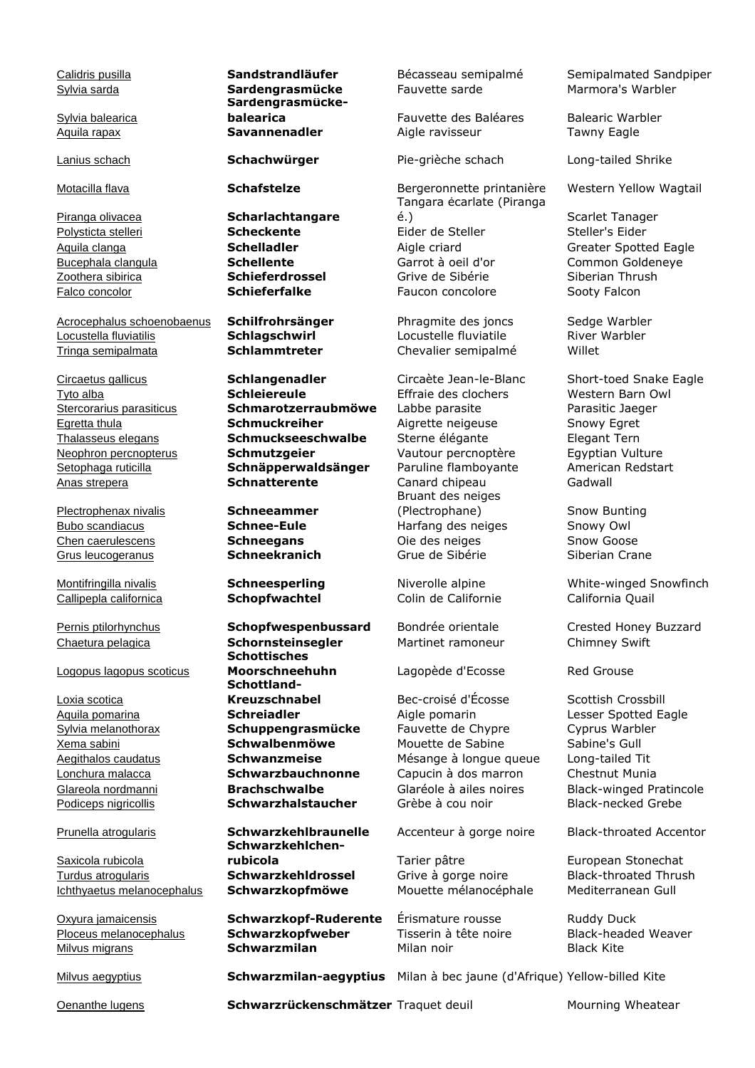Sylvia balearica

Acrocephalus schoenobaenus **Schilfrohrsänger** Phragmite des joncs Sedge Warbler Locustella fluviatilis **Schlagschwirl** Locustelle fluviatile River Warbler Tringa semipalmata **Schlammtreter** Chevalier semipalmé Willet

Plectrophenax nivalis **Schneeammer**

Callipepla californica **Schopfwachtel** Colin de Californie California Quail

Logopus lagopus scoticus

Loxia scotica

Saxicola rubicola Turdus atrogularis **Schwarzkehldrossel** Grive à gorge noire Black-throated Thrush Ichthyaetus melanocephalus **Schwarzkopfmöwe** Mouette mélanocéphale Mediterranean Gull

**Sardengrasmücke-**

Piranga olivacea **Scharlachtangare**

Tyto alba **Schleiereule** Effraie des clochers Western Barn Owl Stercorarius parasiticus **Schmarotzerraubmöwe** Labbe parasite Parasitic Jaeger Egretta thula **Schmuckreiher** Aigrette neigeuse Snowy Egret Thalasseus elegans **Schmuckseeschwalbe** Sterne élégante Elegant Tern Neophron percnopterus **Schmutzgeier** Vautour percnoptère Egyptian Vulture Setophaga ruticilla **Schnäpperwaldsänger** Paruline flamboyante American Redstart Anas strepera **Schnatterente** Canard chipeau Gadwall

# Chaetura pelagica **Schornsteinsegler** Martinet ramoneur Chimney Swift **Schottisches Moorschneehuhn** Lagopède d'Ecosse Red Grouse **Schottland-Kreuzschnabel** Bec-croisé d'Écosse Scottish Crossbill

**Schwarzkehlchenrubicola** Tarier pâtre **European Stonechat** 

Oxyura jamaicensis **Schwarzkopf-Ruderente** Érismature rousse Ruddy Duck Ploceus melanocephalus **Schwarzkopfweber** Tisserin à tête noire Black-headed Weaver Milvus migrans **Schwarzmilan** Milan noir Black Kite

Sylvia sarda **Sardengrasmücke** Fauvette sarde Marmora's Warbler

**balearica** Fauvette des Baléares Balearic Warbler Aquila rapax **Savannenadler** Aigle ravisseur Tawny Eagle

Tangara écarlate (Piranga é.) Scarlet Tanager Polysticta stelleri **Scheckente Steller's Eider de Steller's Eider** Steller's Eider Aquila clanga **Schelladler Schelladler** Aigle criard Greater Spotted Eagle (Alien Common Goldeneve and Common Goldeneve and Common Goldeneve Bucephala clangula **Schellente** Garrot à oeil d'or Common Goldeneye Zoothera sibirica **Schieferdrossel** Grive de Sibérie Siberian Thrush Falco concolor **Schieferfalke** Faucon concolore Sooty Falcon

Bruant des neiges (Plectrophane) Snow Bunting Bubo scandiacus **Schnee-Eule** Harfang des neiges Snowy Owl Chen caerulescens **Schneegans** Oie des neiges Snow Goose Grus leucogeranus **Schneekranich** Grue de Sibérie Siberian Crane

Aquila pomarina **Schreiadler** Aigle pomarin Lesser Spotted Eagle Sylvia melanothorax **Schuppengrasmücke** Fauvette de Chypre Cyprus Warbler Xema sabini **Schwalbenmöwe** Mouette de Sabine Sabine's Gull Aegithalos caudatus **Schwanzmeise** Mésange à longue queue Long-tailed Tit Lonchura malacca **Schwarzbauchnonne** Capucin à dos marron Chestnut Munia Glareola nordmanni **Brachschwalbe** Glaréole à ailes noires Black-winged Pratincole Podiceps nigricollis **Schwarzhalstaucher** Grèbe à cou noir Black-necked Grebe

Prunella atrogularis **Schwarzkehlbraunelle** Accenteur à gorge noire Black-throated Accentor

Calidris pusilla **Sandstrandläufer** Bécasseau semipalmé Semipalmated Sandpiper

Lanius schach **Schachwürger** Pie-grièche schach Long-tailed Shrike

Motacilla flava **Schafstelze** Bergeronnette printanière Western Yellow Wagtail

Circaetus gallicus **Schlangenadler** Circaète Jean-le-Blanc Short-toed Snake Eagle

Montifringilla nivalis **Schneesperling** Niverolle alpine White-winged Snowfinch

Pernis ptilorhynchus **Schopfwespenbussard** Bondrée orientale Crested Honey Buzzard

Milvus aegyptius **Schwarzmilan-aegyptius** Milan à bec jaune (d'Afrique) Yellow-billed Kite

Oenanthe lugens **Schwarzrückenschmätzer** Traquet deuil Mourning Wheatear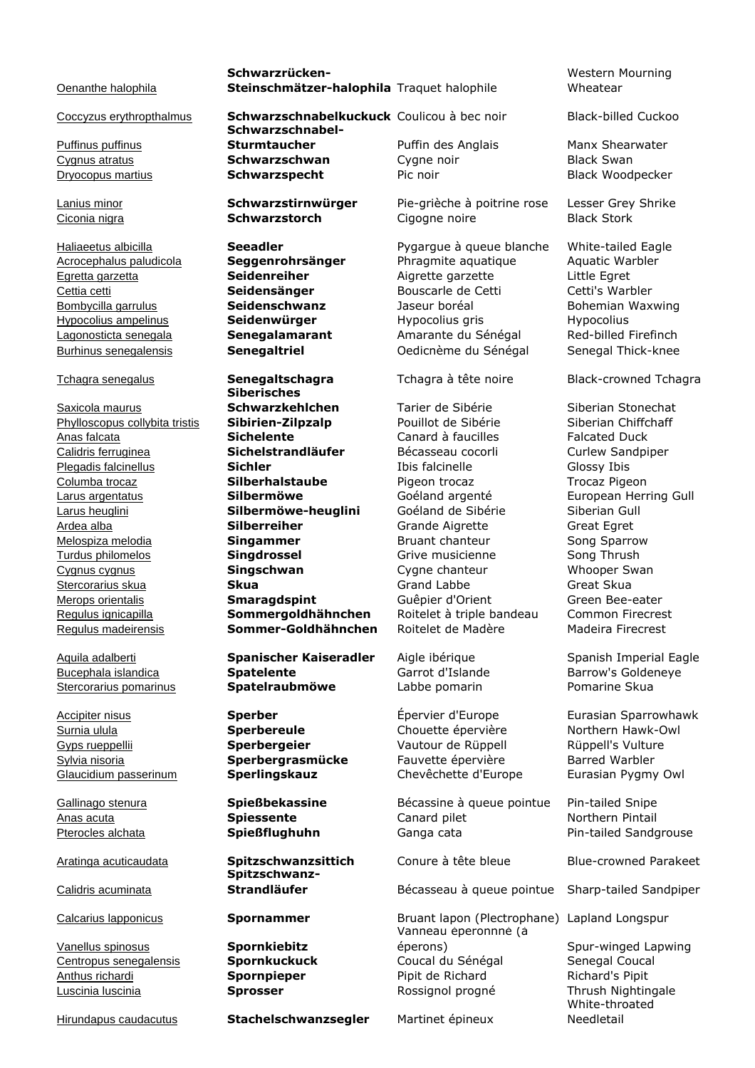Oenanthe halophila

Puffinus puffinus

Saxicola maurus Regulus madeirensis **Sommer-Goldhähnchen** Roitelet de Madère Madeira Firecrest

Bucephala islandica **Spatelente** Garrot d'Islande Barrow's Goldeneye Stercorarius pomarinus **Spatelraubmöwe** Labbe pomarin Pomarine Skua

Calidris acuminata

Vanellus spinosus **Spornkiebitz**

Hirundapus caudacutus **Stachelschwanzsegler** Martinet épineux

**Schwarzrücken-Steinschmätzer-halophila** Traquet halophile

Coccyzus erythropthalmus **Schwarzschnabelkuckuck** Coulicou à bec noir Black-billed Cuckoo **Schwarzschnabel-Sturmtaucher** Puffin des Anglais Manx Shearwater Cygnus atratus **Schwarzschwan** Cygne noir Black Swan Dryocopus martius **Schwarzspecht** Pic noir Black Woodpecker

**Siberisches** 

**Spitzschwanz-**

Lanius minor **Schwarzstirnwürger** Pie-grièche à poitrine rose Lesser Grey Shrike Ciconia nigra **Schwarzstorch** Cigogne noire Black Stork

Haliaeetus albicilla **Seeadler Seeadler** Pygargue à queue blanche White-tailed Eagle Acrocephalus paludicola **Seggenrohrsänger** Phragmite aquatique Aquatic Warbler Egretta garzetta **Seidenreiher** Aigrette garzette Little Egret Cettia cetti **Seidensänger** Bouscarle de Cetti Cetti's Warbler Bombycilla garrulus **Seidenschwanz** Jaseur boréal Bohemian Waxwing Hypocolius ampelinus **Seidenwürger** Hypocolius gris Hypocolius Hypocolius gris Hypocolius gris Hypocolius gris Hypocolius gris Hypocolius gris Hypocolius gris de Hypocolius gris de Hypocolius gris de Hypocolius gris de Hyp Lagonosticta senegala **Senegalamarant** Amarante du Sénégal Red-billed Firefinch<br>
<u>Burhinus senegalensis</u> **Senegaltriel Constanting Constant Constant Constant Constant Constant Constant Constant Senegaltriel Senegaltriel** Oedicnème du Sénégal Senegal Thick-knee

**Schwarzkehlchen** Tarier de Sibérie **Siberian Stonechat** Phylloscopus collybita tristis **Sibirien-Zilpzalp** Pouillot de Sibérie Siberian Chiffchaff Anas falcata **Sichelente** Canard à faucilles Falcated Duck Calidris ferruginea **Sichelstrandläufer** Bécasseau cocorli Curlew Sandpiper Plegadis falcinellus **Sichler Sichler** Ibis falcinelle Glossy Ibis Columba trocaz **Silberhalstaube** Pigeon trocaz Trocaz Pigeon Larus argentatus **Silbermöwe** Goéland argenté European Herring Gull Larus heuglini **Silbermöwe-heuglini** Goéland de Sibérie Siberian Gull Ardea alba **Silberreiher** Grande Aigrette Great Egret Melospiza melodia **Singammer** Bruant chanteur Song Sparrow Turdus philomelos **Singdrossel** Grive musicienne Song Thrush Cygnus cygnus **Singschwan** Cygne chanteur Whooper Swan Stercorarius skua **Skua** Grand Labbe Great Skua Merops orientalis **Smaragdspint** Guêpier d'Orient Green Bee-eater Regulus ignicapilla **Sommergoldhähnchen** Roitelet à triple bandeau Common Firecrest

Surnia ulula **Sperbereule** Chouette épervière Northern Hawk-Owl Gyps rueppellii **Sperbergeier** Vautour de Rüppell Rüppell's Vulture Sylvia nisoria **Sperbergrasmücke** Fauvette épervière Barred Warbler Glaucidium passerinum **Sperlingskauz** Chevêchette d'Europe Eurasian Pygmy Owl

Gallinago stenura **Spießbekassine** Bécassine à queue pointue Pin-tailed Snipe Anas acuta **Spiessente** Canard pilet Northern Pintail Pterocles alchata **Spießflughuhn** Ganga cata Pin-tailed Sandgrouse

**Strandläufer** Bécasseau à queue pointue Sharp-tailed Sandpiper

Calcarius lapponicus **Spornammer** Bruant lapon (Plectrophane) Lapland Longspur Vanneau éperonnné (à éperons) Spur-winged Lapwing Centropus senegalensis **Spornkuckuck** Coucal du Sénégal Senegal Coucal Anthus richardi **Spornpieper** Pipit de Richard Richard's Pipit Luscinia luscinia **Sprosser** Rossignol progné Thrush Nightingale

Western Mourning Wheatear

Tchagra senegalus **Senegaltschagra** Tchagra à tête noire Black-crowned Tchagra

Aquila adalberti **Spanischer Kaiseradler** Aigle ibérique Spanish Imperial Eagle

Accipiter nisus **Sperber** Épervier d'Europe Eurasian Sparrowhawk

Aratinga acuticaudata **Spitzschwanzsittich** Conure à tête bleue Blue-crowned Parakeet

White-throated Needletail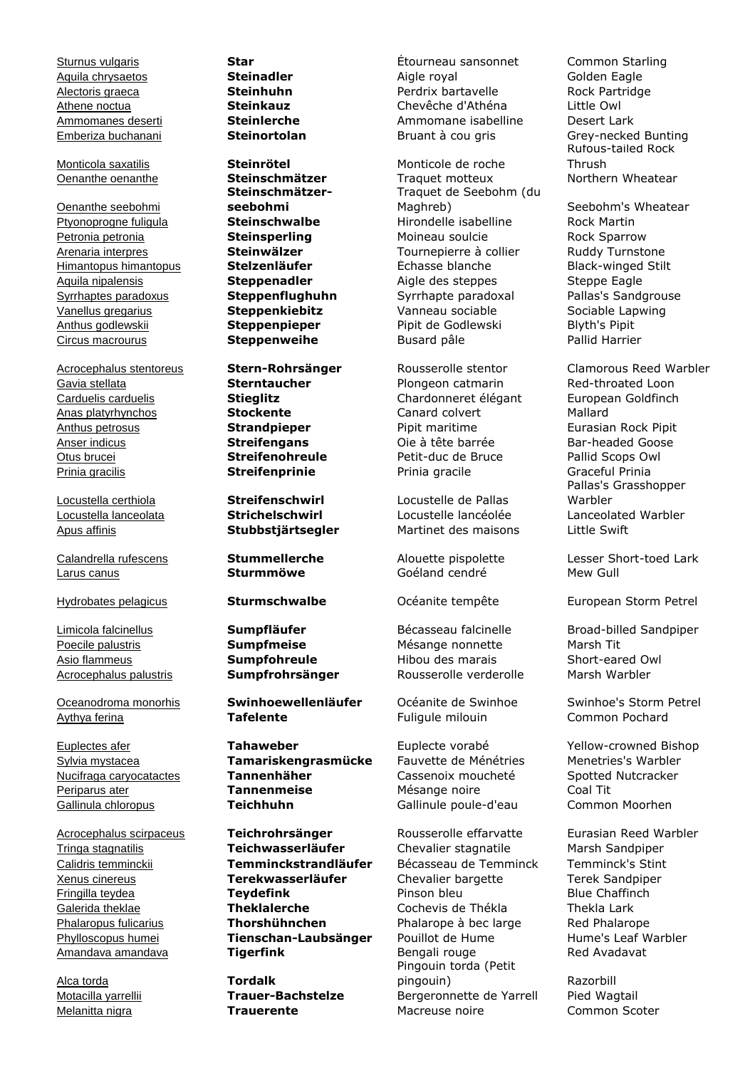Oenanthe seebohmi Circus macrourus **Steppenweihe** Busard pâle

Gavia stellata **Sterntaucher** Plongeon catmarin Red-throated Loon Carduelis carduelis **Stieglitz** Chardonneret élégant European Goldfinch Anas platyrhynchos **Stockente** Canard colvert Mallard Anthus petrosus **Strandpieper** Pipit maritime Eurasian Rock Pipit Anser indicus **Streifengans** Oie à tête barrée Bar-headed Goose Otus brucei **Streifenohreule** Petit-duc de Bruce Pallid Scops Owl Prinia gracilis **Streifenprinie** Prinia gracile Graceful Prinia

Larus canus **Sturmmöwe** Goéland cendré Mew Gull

Alca torda **Tordalk**

Monticola saxatilis **Steinrötel** Monticole de roche **Steinschmätzerseebohmi**

Oceanodroma monorhis **Swinhoewellenläufer** Océanite de Swinhoe Swinhoe's Storm Petrel Aythya ferina **Tafelente** Fuligule milouin Common Pochard

Sylvia mystacea **Tamariskengrasmücke** Fauvette de Ménétries Menetries's Warbler Nucifraga caryocatactes **Tannenhäher** Cassenoix moucheté Spotted Nutcracker Periparus ater **Tannenmeise** Mésange noire Coal Tit Gallinula chloropus **Teichhuhn** Gallinule poule-d'eau Common Moorhen

Acrocephalus scirpaceus **Teichrohrsänger** Rousserolle effarvatte Eurasian Reed Warbler Tringa stagnatilis **Teichwasserläufer** Chevalier stagnatile Marsh Sandpiper Calidris temminckii **Temminckstrandläufer** Bécasseau de Temminck Temminck's Stint Xenus cinereus **Terekwasserläufer** Chevalier bargette Terek Sandpiper Fringilla teydea **Teydefink** Pinson bleu Blue Chaffinch **Theklalerche** Cochevis de Thékla Thekla Lark Phalaropus fulicarius **Thorshühnchen** Phalarope à bec large Red Phalarope Phylloscopus humei **Tienschan-Laubsänger** Pouillot de Hume **Hume's Leaf Warbler**<br>Amandaya amandaya **Tigerfink** Bengali rouge Red Ayadayat Amandava amandava **Tigerfink** Bengali rouge

Sturnus vulgaris **Star** Étourneau sansonnet Common Starling Aquila chrysaetos **Steinadler** Aigle royal Golden Eagle Alectoris graeca **Steinhuhn** Perdrix bartavelle Rock Partridge Athene noctua **Steinkauz** Chevêche d'Athéna Little Owl Ammomanes deserti **Steinlerche** Ammomane isabelline Desert Lark Emberiza buchanani **Steinortolan** Bruant à cou gris Grey-necked Bunting

Oenanthe oenanthe **Steinschmätzer** Traquet motteux Northern Wheatear Traquet de Seebohm (du Maghreb) Seebohm's Wheatear Ptyonoprogne fuligula **Steinschwalbe** Hirondelle isabelline Rock Martin Petronia petronia **Steinsperling** Moineau soulcie Rock Sparrow Arenaria interpres **Steinwälzer** Tournepierre à collier Ruddy Turnstone Himantopus himantopus **Stelzenläufer** Échasse blanche Black-winged Stilt Aquila nipalensis **Steppenadler** Aigle des steppes Steppe Eagle Syrrhaptes paradoxus **Steppenflughuhn** Syrrhapte paradoxal Pallas's Sandgrouse Vanellus gregarius **Steppenkiebitz** Vanneau sociable Sociable Lapwing Anthus godlewskii **Steppenpieper** Pipit de Godlewski Blyth's Pipit

Locustella certhiola **Streifenschwirl** Locustelle de Pallas Locustella lanceolata **Strichelschwirl** Locustelle lancéolée Lanceolated Warbler Apus affinis **Stubbstjärtsegler** Martinet des maisons Little Swift

Poecile palustris **Sumpfmeise** Mésange nonnette Marsh Tit Asio flammeus **Sumpfohreule** Hibou des marais Short-eared Owl Acrocephalus palustris **Sumpfrohrsänger** Rousserolle verderolle Marsh Warbler

Pingouin torda (Petit pingouin) Razorbill Motacilla yarrellii **Trauer-Bachstelze** Bergeronnette de Yarrell Pied Wagtail Melanitta nigra **Trauerente** Macreuse noire Common Scoter

Rufous-tailed Rock Thrush

Acrocephalus stentoreus **Stern-Rohrsänger** Rousserolle stentor Clamorous Reed Warbler Pallas's Grasshopper Warbler

Calandrella rufescens **Stummellerche** Alouette pispolette Lesser Short-toed Lark

Hydrobates pelagicus **Sturmschwalbe** Océanite tempête European Storm Petrel

Limicola falcinellus **Sumpfläufer** Bécasseau falcinelle Broad-billed Sandpiper

Euplectes afer **Tahaweber** Euplecte vorabé Yellow-crowned Bishop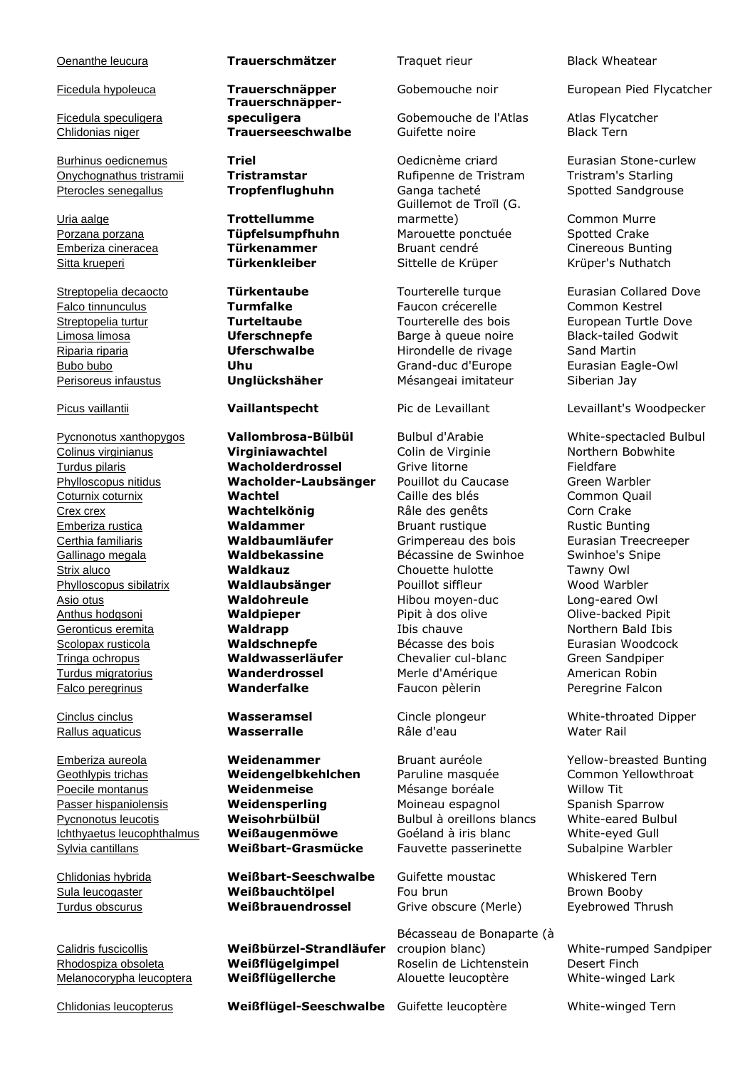Ficedula speculigera

Onychognathus tristramii **Tristramstar** Rufipenne de Tristram Tristram's Starling Pterocles senegallus **Tropfenflughuhn** Ganga tacheté Spotted Sandgrouse

Uria aalge **Trottellumme**

Geothlypis trichas **Weidengelbkehlchen** Paruline masquée Common Yellowthroat Poecile montanus **Weidenmeise** Mésange boréale Willow Tit Passer hispaniolensis **Weidensperling** Moineau espagnol Moineau Spanish Sparrow Pycnonotus leucotis **Weisohrbülbül** Bulbul à oreillons blancs White-eared Bulbul Ichthyaetus leucophthalmus **Weißaugenmöwe** Goéland à iris blanc White-eyed Gull Sylvia cantillans **Weißbart-Grasmücke** Fauvette passerinette Subalpine Warbler

### Oenanthe leucura **Trauerschmätzer** Traquet rieur Black Wheatear

**Trauerschnäpper-**

Pycnonotus xanthopygos **Vallombrosa-Bülbül** Bulbul d'Arabie White-spectacled Bulbul Colinus virginianus **Virginiawachtel** Colin de Virginie Northern Bobwhite Turdus pilaris **Wacholderdrossel** Grive litorne Fieldfare Phylloscopus nitidus **Wacholder-Laubsänger** Pouillot du Caucase Green Warbler Coturnix coturnix **Wachtel** Caille des blés Common Quail Crex crex **Wachtelkönig** Râle des genêts Corn Crake Emberiza rustica **Waldammer** Bruant rustique Rustic Bunting Certhia familiaris **Waldbaumläufer** Grimpereau des bois Eurasian Treecreeper Gallinago megala **Waldbekassine** Bécassine de Swinhoe Swinhoe's Snipe Strix aluco **Waldkauz** Chouette hulotte Tawny Owl Phylloscopus sibilatrix **Waldlaubsänger** Pouillot siffleur Wood Warbler Asio otus **Waldohreule** Hibou moyen-duc Long-eared Owl Anthus hodgsoni **Waldpieper** Pipit à dos olive Olive-backed Pipit Geronticus eremita **Waldrapp Waldrapp** Ibis chauve Northern Bald Ibis Scolopax rusticola **Waldschnepfe** Bécasse des bois Eurasian Woodcock Tringa ochropus **Waldwasserläufer** Chevalier cul-blanc Green Sandpiper Turdus migratorius **Wanderdrossel** Merle d'Amérique American Robin Falco peregrinus **Wanderfalke** Faucon pèlerin Peregrine Falcon

Chlidonias hybrida **Weißbart-Seeschwalbe** Guifette moustac Whiskered Tern Sula leucogaster **Weißbauchtölpel** Fou brun Brown Booby Turdus obscurus **Weißbrauendrossel** Grive obscure (Merle) Eyebrowed Thrush

Calidris fuscicollis **Weißbürzel-Strandläufer** Rhodospiza obsoleta **Weißflügelgimpel** Roselin de Lichtenstein Desert Finch Melanocorypha leucoptera **Weißflügellerche** Alouette leucoptère White-winged Lark

Chlidonias leucopterus **Weißflügel-Seeschwalbe** Guifette leucoptère White-winged Tern

**speculigera Gobemouche de l'Atlas** Atlas Flycatcher Chlidonias niger **Trauerseeschwalbe** Guifette noire Black Tern

Guillemot de Troïl (G. marmette) Common Murre Porzana porzana **Tüpfelsumpfhuhn** Marouette ponctuée Spotted Crake Emberiza cineracea **Türkenammer** Bruant cendré Cinereous Bunting Sitta krueperi **Türkenkleiber** Sittelle de Krüper Krüper's Nuthatch

Falco tinnunculus **Turmfalke** Faucon crécerelle Common Kestrel Limosa limosa **Eleccia de Limosa de Limosa de Limosa de Limosa de Limosa de Limosa de Limosa de Limosa de Limos<br>
Limosa limosa de Limosa de Limosa de Limosa de Limosa de Limosa de Limosa de Limosa de Limosa de Limosa de Li** Riparia riparia **Uferschwalbe** Hirondelle de rivage Sand Martin Bubo bubo **Uhu** Grand-duc d'Europe Eurasian Eagle-Owl Perisoreus infaustus **Unglückshäher** Mésangeai imitateur Siberian Jay

Rallus aquaticus **Wasserralle** Râle d'eau Water Rail

Bécasseau de Bonaparte (à croupion blanc) White-rumped Sandpiper

Ficedula hypoleuca **Trauerschnäpper** Gobemouche noir European Pied Flycatcher

Burhinus oedicnemus **Triel** Oedicnème criard Eurasian Stone-curlew

Streptopelia decaocto **Türkentaube** Tourterelle turque Eurasian Collared Dove Streptopelia turtur **Turteltaube** Tourterelle des bois European Turtle Dove

Picus vaillantii **Vaillantspecht** Pic de Levaillant Levaillant's Woodpecker

Cinclus cinclus **Wasseramsel** Cincle plongeur White-throated Dipper

Emberiza aureola **Weidenammer** Bruant auréole Yellow-breasted Bunting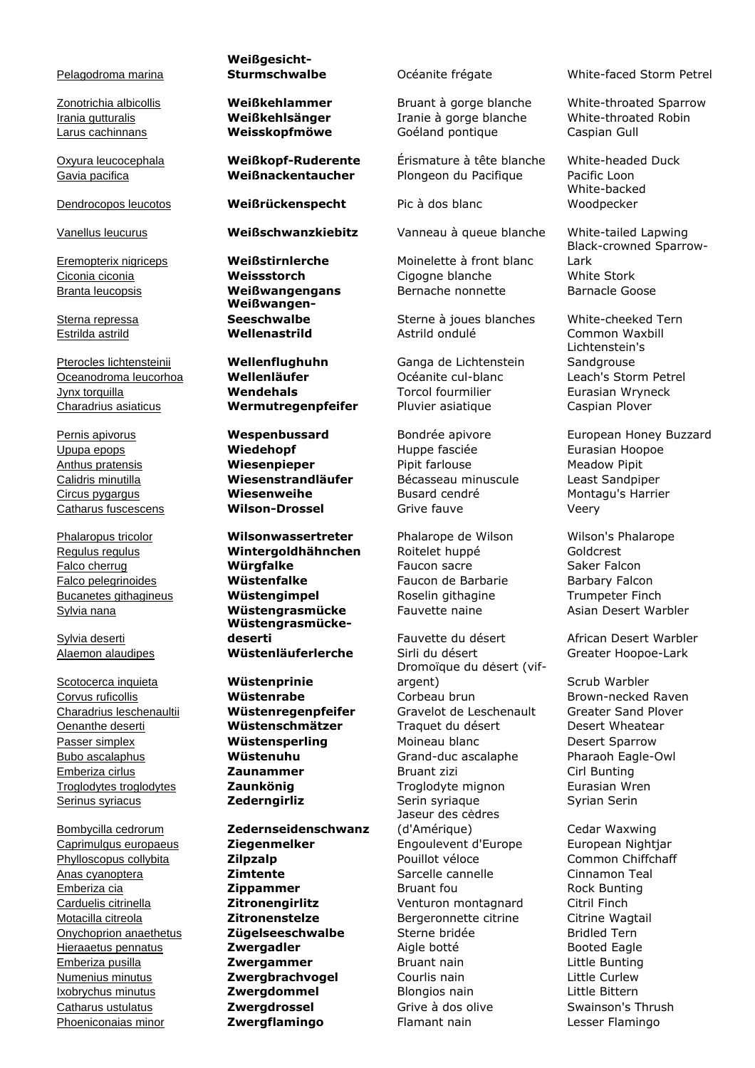### Pelagodroma marina

Sterna repressa

Sylvia deserti

**Scotocerca inquieta Wüstenprinie**<br> **Corvus ruficollis Wüstenrabe** 

Bombycilla cedrorum **Zedernseidenschwanz**

## **Weißgesicht-**

Dendrocopos leucotos **Weißrückenspecht** Pic à dos blanc

**Weißwangen-**

Upupa epops **Wiedehopf** Huppe fasciée **Eurasian Hoopoe** Houpoe Anthus pratensis **Wiesenpieper** Pipit farlouse Meadow Pipit Calidris minutilla **Wiesenstrandläufer** Bécasseau minuscule Least Sandpiper Circus pygargus **Wiesenweihe** Busard cendré Montagu's Harrier Catharus fuscescens **Wilson-Drossel** Grive fauve Veery

Phalaropus tricolor **Wilsonwassertreter** Phalarope de Wilson Wilson's Phalarope Regulus regulus **Wintergoldhähnchen** Roitelet huppé Goldcrest Falco cherrug **Würgfalke** Faucon sacre Saker Falcon Falco pelegrinoides **Wüstenfalke** Faucon de Barbarie Barbary Falcon Bucanetes githagineus **Wüstengimpel** Roselin githagine Trumpeter Finch Sylvia nana **Wüstengrasmücke** Fauvette naine Asian Desert Warbler **Wüstengrasmücke-**

Phoeniconaias minor **Zwergflamingo** Flamant nain Lesser Flamingo

Irania gutturalis **Weißkehlsänger** Iranie à gorge blanche White-throated Robin Larus cachinnans **Weisskopfmöwe** Goéland pontique Caspian Gull

Oxyura leucocephala **Weißkopf-Ruderente** Érismature à tête blanche White-headed Duck Gavia pacifica **Weißnackentaucher** Plongeon du Pacifique Pacific Loon

Vanellus leucurus **Weißschwanzkiebitz** Vanneau à queue blanche White-tailed Lapwing

Eremopterix nigriceps **Weißstirnlerche** Moinelette à front blanc Ciconia ciconia **Weissstorch** Cigogne blanche White Stork Branta leucopsis **Weißwangengans** Bernache nonnette Barnacle Goose

**Seeschwalbe** Sterne à joues blanches White-cheeked Tern Estrilda astrild **Wellenastrild** Astrild ondulé Common Waxbill

Pterocles lichtensteinii **Wellenflughuhn** Ganga de Lichtenstein Oceanodroma leucorhoa **Wellenläufer** Océanite cul-blanc Leach's Storm Petrel Jynx torquilla **Wendehals** Torcol fourmilier Eurasian Wryneck Charadrius asiaticus **Wermutregenpfeifer** Pluvier asiatique Caspian Plover

**deserti** Fauvette du désert African Desert Warbler Alaemon alaudipes **Wüstenläuferlerche** Sirli du désert Greater Hoopoe-Lark Dromoïque du désert (vifargent) Scrub Warbler Corvus ruficollis **Wüstenrabe** Corbeau brun Brown-necked Raven Charadrius leschenaultii **Wüstenregenpfeifer** Gravelot de Leschenault Greater Sand Plover Oenanthe deserti **Wüstenschmätzer** Traquet du désert Desert Wheatear Passer simplex **Wüstensperling** Moineau blanc Desert Sparrow Bubo ascalaphus **Wüstenuhu** Grand-duc ascalaphe Pharaoh Eagle-Owl Emberiza cirlus **Zaunammer** Bruant zizi Cirl Bunting Troglodytes troglodytes **Zaunkönig** Troglodyte mignon Eurasian Wren Serinus syriacus **Zederngirliz** Serin syriaque Syrian Serin Jaseur des cèdres (d'Amérique) Cedar Waxwing Caprimulgus europaeus **Ziegenmelker** Engoulevent d'Europe European Nightjar Phylloscopus collybita **Zilpzalp** Pouillot véloce Common Chiffchaff Anas cyanoptera **Zimtente** Sarcelle cannelle Cinnamon Teal Emberiza cia **Zippammer** Bruant fou Rock Bunting Carduelis citrinella **Zitronengirlitz** Venturon montagnard Citril Finch Motacilla citreola **Zitronenstelze** Bergeronnette citrine Citrine Wagtail Onychoprion anaethetus **Zügelseeschwalbe** Sterne bridée Bridled Tern **Hieraaetus pennatus Einzum Zwergadler** Aigle botté Booted Eagle Emberiza pusilla **Zwergammer** Bruant nain Little Bunting Numenius minutus **Zwergbrachvogel** Courlis nain Little Curlew Ixobrychus minutus **Zwergdommel** Blongios nain Little Bittern Catharus ustulatus **Zwergdrossel** Grive à dos olive Swainson's Thrush

**Sturmschwalbe** Océanite frégate White-faced Storm Petrel

Zonotrichia albicollis **Weißkehlammer** Bruant à gorge blanche White-throated Sparrow

White-backed Woodpecker

Black-crowned Sparrow-Lark

Lichtenstein's **Sandgrouse** 

Pernis apivorus **Wespenbussard** Bondrée apivore European Honey Buzzard